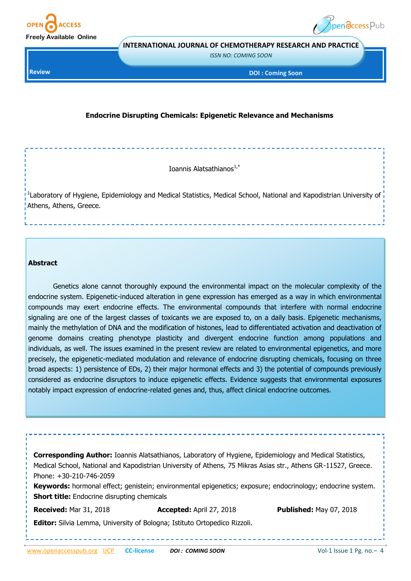



**INTERNATIONAL JOURNAL OF CHEMOTHERAPY RESEARCH AND PRACTICE** 

*ISSN NO: COMING SOON* 

**Review**

**DOI : Coming Soon** 

## **Endocrine Disrupting Chemicals: Epigenetic Relevance and Mechanisms**

Ioannis Alatsathianos $1, *$ 

<sup>1</sup>Laboratory of Hygiene, Epidemiology and Medical Statistics, Medical School, National and Kapodistrian University of Athens, Athens, Greece.

#### **Abstract**

Genetics alone cannot thoroughly expound the environmental impact on the molecular complexity of the endocrine system. Epigenetic-induced alteration in gene expression has emerged as a way in which environmental compounds may exert endocrine effects. The environmental compounds that interfere with normal endocrine signaling are one of the largest classes of toxicants we are exposed to, on a daily basis. Epigenetic mechanisms, mainly the methylation of DNA and the modification of histones, lead to differentiated activation and deactivation of genome domains creating phenotype plasticity and divergent endocrine function among populations and individuals, as well. The issues examined in the present review are related to environmental epigenetics, and more precisely, the epigenetic-mediated modulation and relevance of endocrine disrupting chemicals, focusing on three broad aspects: 1) persistence of EDs, 2) their major hormonal effects and 3) the potential of compounds previously considered as endocrine disruptors to induce epigenetic effects. Evidence suggests that environmental exposures notably impact expression of endocrine-related genes and, thus, affect clinical endocrine outcomes.

**Corresponding Author:** Ioannis Alatsathianos, Laboratory of Hygiene, Epidemiology and Medical Statistics, Medical School, National and Kapodistrian University of Athens, 75 Mikras Asias str., Athens GR-11527, Greece. Phone: +30-210-746-2059 Keywords: hormonal effect; genistein; environmental epigenetics; exposure; endocrinology; endocrine system.

**Short title:** Endocrine disrupting chemicals

**Received:** Mar 31, 2018 **Accepted:** April 27, 2018 **Published:** May 07, 2018

**Editor:** Silvia Lemma, University of Bologna; Istituto Ortopedico Rizzoli.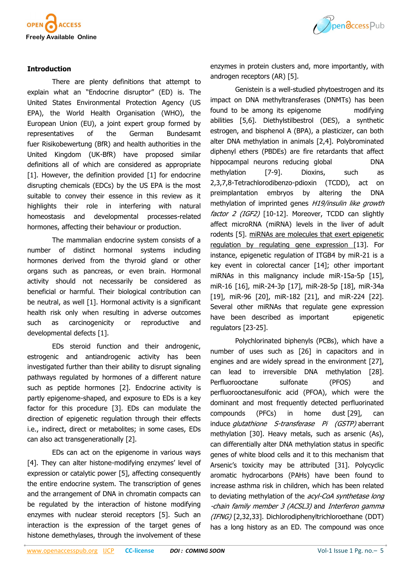

# Ppendccess Pub

## **Introduction**

There are plenty definitions that attempt to explain what an "Endocrine disruptor" (ED) is. The United States Environmental Protection Agency (US EPA), the World Health Organisation (WHO), the European Union (EU), a joint expert group formed by representatives of the German Bundesamt fuer Risikobewertung (BfR) and health authorities in the United Kingdom (UK-BfR) have proposed similar definitions all of which are considered as appropriate [\[1\].](file:///C:/Users/hussain/Downloads/2047_revised_Manuscript.doc#_ENREF_1#_ENREF_1) However, the definition provided [[1\]](file:///C:/Users/hussain/Downloads/2047_revised_Manuscript.doc#_ENREF_1#_ENREF_1) for endocrine disrupting chemicals (EDCs) by the US EPA is the most suitable to convey their essence in this review as it highlights their role in interfering with natural homeostasis and developmental processes-related hormones, affecting their behaviour or production.

The mammalian endocrine system consists of a number of distinct hormonal systems including hormones derived from the thyroid gland or other organs such as pancreas, or even brain. Hormonal activity should not necessarily be considered as beneficial or harmful. Their biological contribution can be neutral, as well [[1\]](file:///C:/Users/hussain/Downloads/2047_revised_Manuscript.doc#_ENREF_1#_ENREF_1). Hormonal activity is a significant health risk only when resulting in adverse outcomes such as carcinogenicity or reproductive and developmental defects [[1\].](file:///C:/Users/hussain/Downloads/2047_revised_Manuscript.doc#_ENREF_1#_ENREF_1)

EDs steroid function and their androgenic, estrogenic and antiandrogenic activity has been investigated further than their ability to disrupt signaling pathways regulated by hormones of a different nature such as peptide hormones [[2\]](file:///C:/Users/hussain/Downloads/2047_revised_Manuscript.doc#_ENREF_2#_ENREF_2). Endocrine activity is partly epigenome-shaped, and exposure to EDs is a key factor for this procedure [\[3\]](file:///C:/Users/hussain/Downloads/2047_revised_Manuscript.doc#_ENREF_3#_ENREF_3). EDs can modulate the direction of epigenetic regulation through their effects i.e., indirect, direct or metabolites; in some cases, EDs can also act transgenerationally [[2\]](file:///C:/Users/hussain/Downloads/2047_revised_Manuscript.doc#_ENREF_2#_ENREF_2).

EDs can act on the epigenome in various ways [\[4\].](file:///C:/Users/hussain/Downloads/2047_revised_Manuscript.doc#_ENREF_4#_ENREF_4) They can alter histone-modifying enzymes' level of expression or catalytic power [[5\]](file:///C:/Users/hussain/Downloads/2047_revised_Manuscript.doc#_ENREF_5#_ENREF_5), affecting consequently the entire endocrine system. The transcription of genes and the arrangement of DNA in chromatin compacts can be regulated by the interaction of histone modifying enzymes with nuclear steroid receptors [\[5\].](file:///C:/Users/hussain/Downloads/2047_revised_Manuscript.doc#_ENREF_5#_ENREF_5) Such an interaction is the expression of the target genes of histone demethylases, through the involvement of these enzymes in protein clusters and, more importantly, with androgen receptors (AR) [[5\].](file:///C:/Users/hussain/Downloads/2047_revised_Manuscript.doc#_ENREF_5#_ENREF_5)

Genistein is a well-studied phytoestrogen and its impact on DNA methyltransferases (DNMTs) has been found to be among its epigenome modifying abilities [\[5,](file:///C:/Users/hussain/Downloads/2047_revised_Manuscript.doc#_ENREF_5#_ENREF_5)[6\].](file:///C:/Users/hussain/Downloads/2047_revised_Manuscript.doc#_ENREF_6#_ENREF_6) Diethylstilbestrol (DES), a synthetic estrogen, and bisphenol A (BPA), a plasticizer, can both alter DNA methylation in animals [[2,](file:///C:/Users/hussain/Downloads/2047_revised_Manuscript.doc#_ENREF_2#_ENREF_2)[4\].](file:///C:/Users/hussain/Downloads/2047_revised_Manuscript.doc#_ENREF_4#_ENREF_4) Polybrominated diphenyl ethers (PBDEs) are fire retardants that affect hippocampal neurons reducing global DNA methylation [7-[9\]](file:///C:/Users/hussain/Downloads/2047_revised_Manuscript.doc#_ENREF_7#_ENREF_7). Dioxins, such as 2,3,7,8-Tetrachlorodibenzo-pdioxin (TCDD), act on preimplantation embryos by altering the DNA methylation of imprinted genes *H19/insulin like growth* factor 2 (IGF2) [10-[12\].](file:///C:/Users/hussain/Downloads/2047_revised_Manuscript.doc#_ENREF_10#_ENREF_10) Moreover, TCDD can slightly affect microRNA (miRNA) levels in the liver of adult rodents [[5\].](file:///C:/Users/hussain/Downloads/2047_revised_Manuscript.doc#_ENREF_5#_ENREF_5) miRNAs are molecules that exert epigenetic regulation by regulating gene expression [\[13\].](file:///C:/Users/hussain/Downloads/2047_revised_Manuscript.doc#_ENREF_13#_ENREF_13) For instance, epigenetic regulation of ITGB4 by miR-21 is a key event in colorectal cancer [[14\];](file:///C:/Users/hussain/Downloads/2047_revised_Manuscript.doc#_ENREF_14#_ENREF_14) other important miRNAs in this malignancy include miR-15a-5p [15], miR-16 [\[16\]](file:///C:/Users/hussain/Downloads/2047_revised_Manuscript.doc#_ENREF_16#_ENREF_16), miR-24-3p [17], miR-28-5p [18], miR-34a [[19\]](file:///C:/Users/hussain/Downloads/2047_revised_Manuscript.doc#_ENREF_19#_ENREF_19), miR-96 [\[20\],](file:///C:/Users/hussain/Downloads/2047_revised_Manuscript.doc#_ENREF_20#_ENREF_20) miR-182 [21], and miR-224 [22]. Several other miRNAs that regulate gene expression have been described as important epigenetic regulators [23-[25\]](file:///C:/Users/hussain/Downloads/2047_revised_Manuscript.doc#_ENREF_23#_ENREF_23).

Polychlorinated biphenyls (PCBs), which have a number of uses such as [[26\]](file:///C:/Users/hussain/Downloads/2047_revised_Manuscript.doc#_ENREF_26#_ENREF_26) in capacitors and in engines and are widely spread in the environment [[27\]](file:///C:/Users/hussain/Downloads/2047_revised_Manuscript.doc#_ENREF_27#_ENREF_27), can lead to irreversible DNA methylation [[28\]](file:///C:/Users/hussain/Downloads/2047_revised_Manuscript.doc#_ENREF_28#_ENREF_28). Perfluorooctane sulfonate (PFOS) and perfluorooctanesulfonic acid (PFOA), which were the dominant and most frequently detected perfluorinated compounds (PFCs) in home dust [29], can induce *glutathione S-transferase Pi (GSTP)* aberrant methylation [[30\]](file:///C:/Users/hussain/Downloads/2047_revised_Manuscript.doc#_ENREF_30#_ENREF_30). Heavy metals, such as arsenic (As), can differentially alter DNA methylation status in specific genes of white blood cells and it to this mechanism that Arsenic's toxicity may be attributed [\[31\].](file:///C:/Users/hussain/Downloads/2047_revised_Manuscript.doc#_ENREF_31#_ENREF_31) Polycyclic aromatic hydrocarbons (PAHs) have been found to increase asthma risk in children, which has been related to deviating methylation of the acyl-CoA synthetase long -chain family member 3 (ACSL3) and Interferon gamma (IFNG) [\[2,](file:///C:/Users/hussain/Downloads/2047_revised_Manuscript.doc#_ENREF_2#_ENREF_2)[32,](file:///C:/Users/hussain/Downloads/2047_revised_Manuscript.doc#_ENREF_32#_ENREF_32)[33\]](file:///C:/Users/hussain/Downloads/2047_revised_Manuscript.doc#_ENREF_33#_ENREF_33). Dichlorodiphenyltrichloroethane (DDT) has a long history as an ED. The compound was once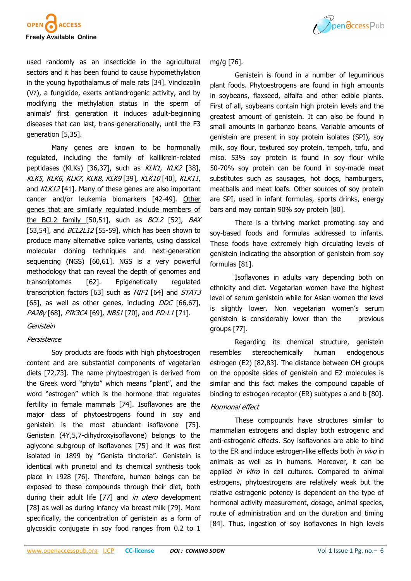



used randomly as an insecticide in the agricultural sectors and it has been found to cause hypomethylation in the young hypothalamus of male rats [\[34\].](file:///C:/Users/hussain/Downloads/2047_revised_Manuscript.doc#_ENREF_34#_ENREF_34) Vinclozolin (Vz), a fungicide, exerts antiandrogenic activity, and by modifying the methylation status in the sperm of animals' first generation it induces adult-beginning diseases that can last, trans-generationally, until the F3 generation [[5,](file:///C:/Users/hussain/Downloads/2047_revised_Manuscript.doc#_ENREF_5#_ENREF_5)[35\].](file:///C:/Users/hussain/Downloads/2047_revised_Manuscript.doc#_ENREF_35#_ENREF_35)

Many genes are known to be hormonally regulated, including the family of kallikrein-related peptidases (KLKs) [\[36,](file:///C:/Users/hussain/Downloads/2047_revised_Manuscript.doc#_ENREF_36#_ENREF_36)[37\],](file:///C:/Users/hussain/Downloads/2047_revised_Manuscript.doc#_ENREF_37#_ENREF_37) such as KLK1, KLK2 [[38\],](file:///C:/Users/hussain/Downloads/2047_revised_Manuscript.doc#_ENREF_38#_ENREF_38) KLK5, KLK6, KLK7, KLK8, KLK9 [[39\]](file:///C:/Users/hussain/Downloads/2047_revised_Manuscript.doc#_ENREF_39#_ENREF_39), KLK10 [[40\]](file:///C:/Users/hussain/Downloads/2047_revised_Manuscript.doc#_ENREF_40#_ENREF_40), KLK11, and KLK12 [\[41\].](file:///C:/Users/hussain/Downloads/2047_revised_Manuscript.doc#_ENREF_41#_ENREF_41) Many of these genes are also important cancer and/or leukemia biomarkers [42-[49\].](file:///C:/Users/hussain/Downloads/2047_revised_Manuscript.doc#_ENREF_42#_ENREF_42) Other genes that are similarly regulated include members of the BCL2 family [[50,](file:///C:/Users/hussain/Downloads/2047_revised_Manuscript.doc#_ENREF_50#_ENREF_50)[51\]](file:///C:/Users/hussain/Downloads/2047_revised_Manuscript.doc#_ENREF_51#_ENREF_51), such as BCL2 [\[52\]](file:///C:/Users/hussain/Downloads/2047_revised_Manuscript.doc#_ENREF_52#_ENREF_52), BAX [[53,](file:///C:/Users/hussain/Downloads/2047_revised_Manuscript.doc#_ENREF_53#_ENREF_53)[54\]](file:///C:/Users/hussain/Downloads/2047_revised_Manuscript.doc#_ENREF_54#_ENREF_54), and BCL2L12 [55-[59\],](file:///C:/Users/hussain/Downloads/2047_revised_Manuscript.doc#_ENREF_55#_ENREF_55) which has been shown to produce many alternative splice variants, using classical molecular cloning techniques and next-generation sequencing (NGS) [[60,](file:///C:/Users/hussain/Downloads/2047_revised_Manuscript.doc#_ENREF_60#_ENREF_60)[61\]](file:///C:/Users/hussain/Downloads/2047_revised_Manuscript.doc#_ENREF_61#_ENREF_61). NGS is a very powerful methodology that can reveal the depth of genomes and transcriptomes [[62\].](file:///C:/Users/hussain/Downloads/2047_revised_Manuscript.doc#_ENREF_62#_ENREF_62) Epigenetically regulated transcription factors [[63\]](file:///C:/Users/hussain/Downloads/2047_revised_Manuscript.doc#_ENREF_63#_ENREF_63) such as *HIF1* [\[64\]](file:///C:/Users/hussain/Downloads/2047_revised_Manuscript.doc#_ENREF_64#_ENREF_64) and *STAT3* [[65\]](file:///C:/Users/hussain/Downloads/2047_revised_Manuscript.doc#_ENREF_65#_ENREF_65), as well as other genes, including  $DDC$  [[66,](file:///C:/Users/hussain/Downloads/2047_revised_Manuscript.doc#_ENREF_66#_ENREF_66)[67\],](file:///C:/Users/hussain/Downloads/2047_revised_Manuscript.doc#_ENREF_67#_ENREF_67) PA28γ [[68\],](file:///C:/Users/hussain/Downloads/2047_revised_Manuscript.doc#_ENREF_68#_ENREF_68) PIK3CA [[69\]](file:///C:/Users/hussain/Downloads/2047_revised_Manuscript.doc#_ENREF_69#_ENREF_69), NBS1 [[70\],](file:///C:/Users/hussain/Downloads/2047_revised_Manuscript.doc#_ENREF_70#_ENREF_70) and PD-L1 [[71\]](file:///C:/Users/hussain/Downloads/2047_revised_Manuscript.doc#_ENREF_71#_ENREF_71).

## Genistein

## Persistence

Soy products are foods with high phytoestrogen content and are substantial components of vegetarian diets [[72,](file:///C:/Users/hussain/Downloads/2047_revised_Manuscript.doc#_ENREF_72#_ENREF_72)[73\].](file:///C:/Users/hussain/Downloads/2047_revised_Manuscript.doc#_ENREF_73#_ENREF_73) The name phytoestrogen is derived from the Greek word "phyto" which means "plant", and the word "estrogen" which is the hormone that regulates fertility in female mammals [[74\].](file:///C:/Users/hussain/Downloads/2047_revised_Manuscript.doc#_ENREF_74#_ENREF_74) Isoflavones are the major class of phytoestrogens found in soy and genistein is the most abundant isoflavone [[75\].](file:///C:/Users/hussain/Downloads/2047_revised_Manuscript.doc#_ENREF_75#_ENREF_75) Genistein (4Y,5,7-dihydroxyisoflavone) belongs to the aglycone subgroup of isoflavones [[75\]](file:///C:/Users/hussain/Downloads/2047_revised_Manuscript.doc#_ENREF_75#_ENREF_75) and it was first isolated in 1899 by "Genista tinctoria". Genistein is identical with prunetol and its chemical synthesis took place in 1928 [[76\]](file:///C:/Users/hussain/Downloads/2047_revised_Manuscript.doc#_ENREF_76#_ENREF_76). Therefore, human beings can be exposed to these compounds through their diet, both during their adult life [[77\]](file:///C:/Users/hussain/Downloads/2047_revised_Manuscript.doc#_ENREF_77#_ENREF_77) and *in utero* development [[78\]](file:///C:/Users/hussain/Downloads/2047_revised_Manuscript.doc#_ENREF_78#_ENREF_78) as well as during infancy via breast milk [\[79\].](file:///C:/Users/hussain/Downloads/2047_revised_Manuscript.doc#_ENREF_79#_ENREF_79) More specifically, the concentration of genistein as a form of glycosidic conjugate in soy food ranges from 0.2 to 1

mg/g [[76\]](file:///C:/Users/hussain/Downloads/2047_revised_Manuscript.doc#_ENREF_76#_ENREF_76).

Genistein is found in a number of leguminous plant foods. Phytoestrogens are found in high amounts in soybeans, flaxseed, alfalfa and other edible plants. First of all, soybeans contain high protein levels and the greatest amount of genistein. It can also be found in small amounts in garbanzo beans. Variable amounts of genistein are present in soy protein isolates (SPI), soy milk, soy flour, textured soy protein, tempeh, tofu, and miso. 53% soy protein is found in soy flour while 50-70% soy protein can be found in soy-made meat substitutes such as sausages, hot dogs, hamburgers, meatballs and meat loafs. Other sources of soy protein are SPI, used in infant formulas, sports drinks, energy bars and may contain 90% soy protein [\[80\]](file:///C:/Users/hussain/Downloads/2047_revised_Manuscript.doc#_ENREF_80#_ENREF_80).

There is a thriving market promoting soy and soy-based foods and formulas addressed to infants. These foods have extremely high circulating levels of genistein indicating the absorption of genistein from soy formulas [[81\]](file:///C:/Users/hussain/Downloads/2047_revised_Manuscript.doc#_ENREF_81#_ENREF_81).

Isoflavones in adults vary depending both on ethnicity and diet. Vegetarian women have the highest level of serum genistein while for Asian women the level is slightly lower. Non vegetarian women's serum genistein is considerably lower than the previous groups [\[77\]](file:///C:/Users/hussain/Downloads/2047_revised_Manuscript.doc#_ENREF_77#_ENREF_77).

Regarding its chemical structure, genistein resembles stereochemically human endogenous estrogen (E2) [\[82,](file:///C:/Users/hussain/Downloads/2047_revised_Manuscript.doc#_ENREF_82#_ENREF_82)[83\].](file:///C:/Users/hussain/Downloads/2047_revised_Manuscript.doc#_ENREF_83#_ENREF_83) The distance between OH groups on the opposite sides of genistein and E2 molecules is similar and this fact makes the compound capable of binding to estrogen receptor (ER) subtypes a and b [\[80\].](file:///C:/Users/hussain/Downloads/2047_revised_Manuscript.doc#_ENREF_80#_ENREF_80)

#### Hormonal effect

These compounds have structures similar to mammalian estrogens and display both estrogenic and anti-estrogenic effects. Soy isoflavones are able to bind to the ER and induce estrogen-like effects both in vivo in animals as well as in humans. Moreover, it can be applied *in vitro* in cell cultures. Compared to animal estrogens, phytoestrogens are relatively weak but the relative estrogenic potency is dependent on the type of hormonal activity measurement, dosage, animal species, route of administration and on the duration and timing [\[84\].](file:///C:/Users/hussain/Downloads/2047_revised_Manuscript.doc#_ENREF_84#_ENREF_84) Thus, ingestion of soy isoflavones in high levels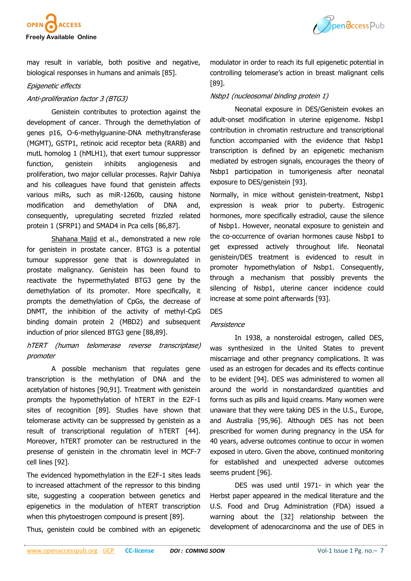



may result in variable, both positive and negative, biological responses in humans and animals [[85\].](file:///C:/Users/hussain/Downloads/2047_revised_Manuscript.doc#_ENREF_85#_ENREF_85)

## Epigenetic effects

## Anti-proliferation factor 3 (BTG3)

Genistein contributes to protection against the development of cancer. Through the demethylation of genes p16, O-6-methylguanine-DNA methyltransferase (MGMT), GSTP1, retinoic acid receptor beta (RARB) and mutL homolog 1 (hMLH1), that exert tumour suppressor function, genistein inhibits angiogenesis and proliferation, two major cellular processes. Rajvir Dahiya and his colleagues have found that genistein affects various miRs, such as miR-1260b, causing histone modification and demethylation of DNA and, consequently, upregulating secreted frizzled related protein 1 (SFRP1) and SMAD4 in Pca cells [[86,](file:///C:/Users/hussain/Downloads/2047_revised_Manuscript.doc#_ENREF_86#_ENREF_86)[87\]](file:///C:/Users/hussain/Downloads/2047_revised_Manuscript.doc#_ENREF_87#_ENREF_87).

[Shahana Majid](https://www.ncbi.nlm.nih.gov/pubmed/?term=Majid%20S%5BAuthor%5D&cauthor=true&cauthor_uid=19885928) et al., demonstrated a new role for genistein in prostate cancer. BTG3 is a potential tumour suppressor gene that is downregulated in prostate malignancy. Genistein has been found to reactivate the hypermethylated BTG3 gene by the demethylation of its promoter. More specifically, it prompts the demethylation of CpGs, the decrease of DNMT, the inhibition of the activity of methyl-CpG binding domain protein 2 (MBD2) and subsequent induction of prior silenced BTG3 gene [\[88,](file:///C:/Users/hussain/Downloads/2047_revised_Manuscript.doc#_ENREF_88#_ENREF_88)[89\].](file:///C:/Users/hussain/Downloads/2047_revised_Manuscript.doc#_ENREF_89#_ENREF_89)

## hTERT (human telomerase reverse transcriptase) promoter

A possible mechanism that regulates gene transcription is the methylation of DNA and the acetylation of histones [[90,](file:///C:/Users/hussain/Downloads/2047_revised_Manuscript.doc#_ENREF_90#_ENREF_90)[91\].](file:///C:/Users/hussain/Downloads/2047_revised_Manuscript.doc#_ENREF_91#_ENREF_91) Treatment with genistein prompts the hypomethylation of hTERT in the E2F-1 sites of recognition [[89\].](file:///C:/Users/hussain/Downloads/2047_revised_Manuscript.doc#_ENREF_89#_ENREF_89) Studies have shown that telomerase activity can be suppressed by genistein as a result of transcriptional regulation of hTERT [44]. Moreover, hTERT promoter can be restructured in the presense of genistein in the chromatin level in MCF-7 cell lines [[92\].](file:///C:/Users/hussain/Downloads/2047_revised_Manuscript.doc#_ENREF_92#_ENREF_92)

The evidenced hypomethylation in the E2F-1 sites leads to increased attachment of the repressor to this binding site, suggesting a cooperation between genetics and epigenetics in the modulation of hTERT transcription when this phytoestrogen compound is present [[89\].](file:///C:/Users/hussain/Downloads/2047_revised_Manuscript.doc#_ENREF_89#_ENREF_89)

Thus, genistein could be combined with an epigenetic

modulator in order to reach its full epigenetic potential in controlling telomerase's action in breast malignant cells [\[89\].](file:///C:/Users/hussain/Downloads/2047_revised_Manuscript.doc#_ENREF_89#_ENREF_89)

## Nsbp1 (nucleosomal binding protein 1)

Neonatal exposure in DES/Genistein evokes an adult-onset modification in uterine epigenome. Nsbp1 contribution in chromatin restructure and transcriptional function accompanied with the evidence that Nsbp1 transcription is defined by an epigenetic mechanism mediated by estrogen signals, encourages the theory of Nsbp1 participation in tumorigenesis after neonatal exposure to DES/genistein [[93\].](file:///C:/Users/hussain/Downloads/2047_revised_Manuscript.doc#_ENREF_93#_ENREF_93)

Normally, in mice without genistein-treatment, Nsbp1 expression is weak prior to puberty. Estrogenic hormones, more specifically estradiol, cause the silence of Nsbp1. However, neonatal exposure to genistein and the co-occurrence of ovarian hormones cause Nsbp1 to get expressed actively throughout life. Neonatal genistein/DES treatment is evidenced to result in promoter hypomethylation of Nsbp1. Consequently, through a mechanism that possibly prevents the silencing of Nsbp1, uterine cancer incidence could increase at some point afterwards [[93\].](file:///C:/Users/hussain/Downloads/2047_revised_Manuscript.doc#_ENREF_93#_ENREF_93)

#### DES

## Persistence

In 1938, a nonsteroidal estrogen, called DES, was synthesized in the United States to prevent miscarriage and other pregnancy complications. It was used as an estrogen for decades and its effects continue to be evident [[94\].](file:///C:/Users/hussain/Downloads/2047_revised_Manuscript.doc#_ENREF_94#_ENREF_94) DES was administered to women all around the world in nonstandardized quantities and forms such as pills and liquid creams. Many women were unaware that they were taking DES in the U.S., Europe, and Australia [[95,](file:///C:/Users/hussain/Downloads/2047_revised_Manuscript.doc#_ENREF_95#_ENREF_95)[96\].](file:///C:/Users/hussain/Downloads/2047_revised_Manuscript.doc#_ENREF_96#_ENREF_96) Although DES has not been prescribed for women during pregnancy in the USA for 40 years, adverse outcomes continue to occur in women exposed in utero. Given the above, continued monitoring for established and unexpected adverse outcomes seems prudent [[96\]](file:///C:/Users/hussain/Downloads/2047_revised_Manuscript.doc#_ENREF_96#_ENREF_96).

DES was used until 1971- in which year the Herbst paper appeared in the medical literature and the U.S. Food and Drug Administration (FDA) issued a warning about the [32] relationship between the development of adenocarcinoma and the use of DES in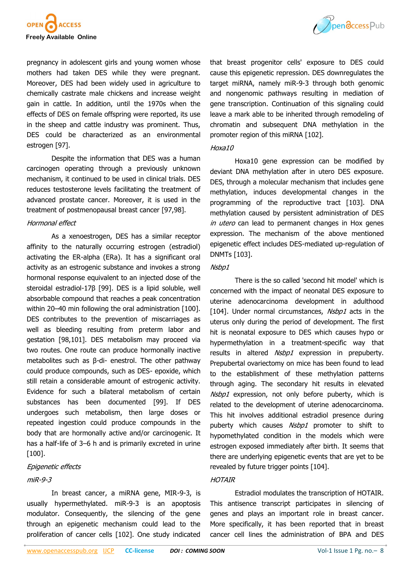

pregnancy in adolescent girls and young women whose mothers had taken DES while they were pregnant. Moreover, DES had been widely used in agriculture to chemically castrate male chickens and increase weight gain in cattle. In addition, until the 1970s when the effects of DES on female offspring were reported, its use in the sheep and cattle industry was prominent. Thus, DES could be characterized as an environmental estrogen [\[97\].](file:///C:/Users/hussain/Downloads/2047_revised_Manuscript.doc#_ENREF_97#_ENREF_97)

Despite the information that DES was a human carcinogen operating through a previously unknown mechanism, it continued to be used in clinical trials. DES reduces testosterone levels facilitating the treatment of advanced prostate cancer. Moreover, it is used in the treatment of postmenopausal breast cancer [\[97,](file:///C:/Users/hussain/Downloads/2047_revised_Manuscript.doc#_ENREF_97#_ENREF_97)[98\].](file:///C:/Users/hussain/Downloads/2047_revised_Manuscript.doc#_ENREF_98#_ENREF_98)

#### Hormonal effect

As a xenoestrogen, DES has a similar receptor affinity to the naturally occurring estrogen (estradiol) activating the ER-alpha (ERa). It has a significant oral activity as an estrogenic substance and invokes a strong hormonal response equivalent to an injected dose of the steroidal estradiol-17β [[99\]](file:///C:/Users/hussain/Downloads/2047_revised_Manuscript.doc#_ENREF_99#_ENREF_99). DES is a lipid soluble, well absorbable compound that reaches a peak concentration within 20–40 min following the oral administration [\[100\].](file:///C:/Users/hussain/Downloads/2047_revised_Manuscript.doc#_ENREF_100#_ENREF_100) DES contributes to the prevention of miscarriages as well as bleeding resulting from preterm labor and gestation [[98,](file:///C:/Users/hussain/Downloads/2047_revised_Manuscript.doc#_ENREF_98#_ENREF_98)[101\].](file:///C:/Users/hussain/Downloads/2047_revised_Manuscript.doc#_ENREF_101#_ENREF_101) DES metabolism may proceed via two routes. One route can produce hormonally inactive metabolites such as β-di- enestrol. The other pathway could produce compounds, such as DES- epoxide, which still retain a considerable amount of estrogenic activity. Evidence for such a bilateral metabolism of certain substances has been documented [[99\].](file:///C:/Users/hussain/Downloads/2047_revised_Manuscript.doc#_ENREF_99#_ENREF_99) If DES undergoes such metabolism, then large doses or repeated ingestion could produce compounds in the body that are hormonally active and/or carcinogenic. It has a half-life of 3–6 h and is primarily excreted in urine [[100\].](file:///C:/Users/hussain/Downloads/2047_revised_Manuscript.doc#_ENREF_100#_ENREF_100)

## Epigenetic effects

## miR-9-3

In breast cancer, a miRNA gene, MIR-9-3, is usually hypermethylated. miR-9-3 is an apoptosis modulator. Consequently, the silencing of the gene through an epigenetic mechanism could lead to the proliferation of cancer cells [\[102\].](file:///C:/Users/hussain/Downloads/2047_revised_Manuscript.doc#_ENREF_102#_ENREF_102) One study indicated



that breast progenitor cells' exposure to DES could cause this epigenetic repression. DES downregulates the target miRNA, namely miR-9-3 through both genomic and nongenomic pathways resulting in mediation of gene transcription. Continuation of this signaling could leave a mark able to be inherited through remodeling of chromatin and subsequent DNA methylation in the promoter region of this miRNA [[102\].](file:///C:/Users/hussain/Downloads/2047_revised_Manuscript.doc#_ENREF_102#_ENREF_102)

## Hoxa10

Hoxa10 gene expression can be modified by deviant DNA methylation after in utero DES exposure. DES, through a molecular mechanism that includes gene methylation, induces developmental changes in the programming of the reproductive tract [[103\].](file:///C:/Users/hussain/Downloads/2047_revised_Manuscript.doc#_ENREF_103#_ENREF_103) DNA methylation caused by persistent administration of DES in utero can lead to permanent changes in Hox genes expression. The mechanism of the above mentioned epigenetic effect includes DES-mediated up-regulation of DNMTs [[103\].](file:///C:/Users/hussain/Downloads/2047_revised_Manuscript.doc#_ENREF_103#_ENREF_103)

## Nsbp1

There is the so called 'second hit model' which is concerned with the impact of neonatal DES exposure to uterine adenocarcinoma development in adulthood [\[104\]](file:///C:/Users/hussain/Downloads/2047_revised_Manuscript.doc#_ENREF_104#_ENREF_104). Under normal circumstances, Nsbp1 acts in the uterus only during the period of development. The first hit is neonatal exposure to DES which causes hypo or hypermethylation in a treatment-specific way that results in altered Nsbp1 expression in prepuberty. Prepubertal ovariectomy on mice has been found to lead to the establishment of these methylation patterns through aging. The secondary hit results in elevated Nsbp1 expression, not only before puberty, which is related to the development of uterine adenocarcinoma. This hit involves additional estradiol presence during puberty which causes Nsbp1 promoter to shift to hypomethylated condition in the models which were estrogen exposed immediately after birth. It seems that there are underlying epigenetic events that are yet to be revealed by future trigger points [[104\]](file:///C:/Users/hussain/Downloads/2047_revised_Manuscript.doc#_ENREF_104#_ENREF_104).

## **HOTAIR**

Estradiol modulates the transcription of HOTAIR. This antisence transcript participates in silencing of genes and plays an important role in breast cancer. More specifically, it has been reported that in breast cancer cell lines the administration of BPA and DES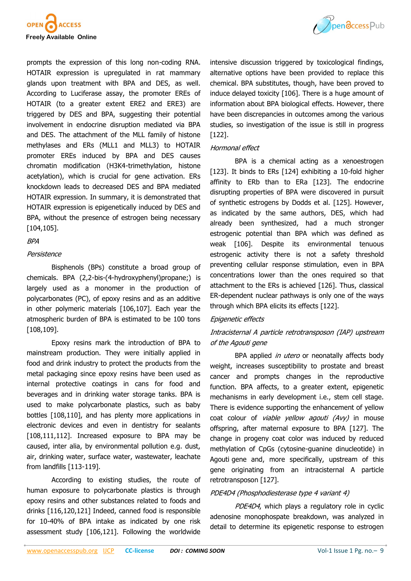



prompts the expression of this long non-coding RNA. HOTAIR expression is upregulated in rat mammary glands upon treatment with BPA and DES, as well. According to Luciferase assay, the promoter EREs of HOTAIR (to a greater extent ERE2 and ERE3) are triggered by DES and BPA, suggesting their potential involvement in endocrine disruption mediated via BPA and DES. The attachment of the MLL family of histone methylases and ERs (MLL1 and MLL3) to HOTAIR promoter EREs induced by BPA and DES causes chromatin modification (H3K4-trimethylation, histone acetylation), which is crucial for gene activation. ERs knockdown leads to decreased DES and BPA mediated HOTAIR expression. In summary, it is demonstrated that HOTAIR expression is epigenetically induced by DES and BPA, without the presence of estrogen being necessary [[104,](file:///C:/Users/hussain/Downloads/2047_revised_Manuscript.doc#_ENREF_104#_ENREF_104)[105\]](file:///C:/Users/hussain/Downloads/2047_revised_Manuscript.doc#_ENREF_105#_ENREF_105).

## BPA

#### Persistence

Bisphenols (BPs) constitute a broad group of chemicals. BPA (2,2-bis-(4-hydroxyphenyl)propane;) is largely used as a monomer in the production of polycarbonates (PC), of epoxy resins and as an additive in other polymeric materials [[106,](file:///C:/Users/hussain/Downloads/2047_revised_Manuscript.doc#_ENREF_106#_ENREF_106)[107\].](file:///C:/Users/hussain/Downloads/2047_revised_Manuscript.doc#_ENREF_107#_ENREF_107) Each year the atmospheric burden of BPA is estimated to be 100 tons [[108,](file:///C:/Users/hussain/Downloads/2047_revised_Manuscript.doc#_ENREF_108#_ENREF_108)[109\]](file:///C:/Users/hussain/Downloads/2047_revised_Manuscript.doc#_ENREF_109#_ENREF_109).

Epoxy resins mark the introduction of BPA to mainstream production. They were initially applied in food and drink industry to protect the products from the metal packaging since epoxy resins have been used as internal protective coatings in cans for food and beverages and in drinking water storage tanks. BPA is used to make polycarbonate plastics, such as baby bottles [\[108,](file:///C:/Users/hussain/Downloads/2047_revised_Manuscript.doc#_ENREF_108#_ENREF_108)[110\],](file:///C:/Users/hussain/Downloads/2047_revised_Manuscript.doc#_ENREF_110#_ENREF_110) and has plenty more applications in electronic devices and even in dentistry for sealants [[108,](file:///C:/Users/hussain/Downloads/2047_revised_Manuscript.doc#_ENREF_108#_ENREF_108)[111,](file:///C:/Users/hussain/Downloads/2047_revised_Manuscript.doc#_ENREF_111#_ENREF_111)[112\].](file:///C:/Users/hussain/Downloads/2047_revised_Manuscript.doc#_ENREF_112#_ENREF_112) Increased exposure to BPA may be caused, inter alia, by environmental pollution e.g. dust, air, drinking water, surface water, wastewater, leachate from landfills [113-[119\].](file:///C:/Users/hussain/Downloads/2047_revised_Manuscript.doc#_ENREF_113#_ENREF_113)

According to existing studies, the route of human exposure to polycarbonate plastics is through epoxy resins and other substances related to foods and drinks [[116,](file:///C:/Users/hussain/Downloads/2047_revised_Manuscript.doc#_ENREF_116#_ENREF_116)[120,](file:///C:/Users/hussain/Downloads/2047_revised_Manuscript.doc#_ENREF_120#_ENREF_120)[121\]](file:///C:/Users/hussain/Downloads/2047_revised_Manuscript.doc#_ENREF_121#_ENREF_121) Indeed, canned food is responsible for 10-40% of BPA intake as indicated by one risk assessment study [[106,](file:///C:/Users/hussain/Downloads/2047_revised_Manuscript.doc#_ENREF_106#_ENREF_106)[121\].](file:///C:/Users/hussain/Downloads/2047_revised_Manuscript.doc#_ENREF_121#_ENREF_121) Following the worldwide intensive discussion triggered by toxicological findings, alternative options have been provided to replace this chemical. BPA substitutes, though, have been proved to induce delayed toxicity [[106\]](file:///C:/Users/hussain/Downloads/2047_revised_Manuscript.doc#_ENREF_106#_ENREF_106). There is a huge amount of information about BPA biological effects. However, there have been discrepancies in outcomes among the various studies, so investigation of the issue is still in progress [\[122\]](file:///C:/Users/hussain/Downloads/2047_revised_Manuscript.doc#_ENREF_122#_ENREF_122).

## Hormonal effect

BPA is a chemical acting as a xenoestrogen [\[123\]](file:///C:/Users/hussain/Downloads/2047_revised_Manuscript.doc#_ENREF_123#_ENREF_123). It binds to ERs [\[124\]](file:///C:/Users/hussain/Downloads/2047_revised_Manuscript.doc#_ENREF_124#_ENREF_124) exhibiting a 10-fold higher affinity to ERb than to ERa [[123\].](file:///C:/Users/hussain/Downloads/2047_revised_Manuscript.doc#_ENREF_123#_ENREF_123) The endocrine disrupting properties of BPA were discovered in pursuit of synthetic estrogens by Dodds et al. [[125\].](file:///C:/Users/hussain/Downloads/2047_revised_Manuscript.doc#_ENREF_125#_ENREF_125) However, as indicated by the same authors, DES, which had already been synthesized, had a much stronger estrogenic potential than BPA which was defined as weak [\[106\]](file:///C:/Users/hussain/Downloads/2047_revised_Manuscript.doc#_ENREF_106#_ENREF_106). Despite its environmental tenuous estrogenic activity there is not a safety threshold preventing cellular response stimulation, even in BPA concentrations lower than the ones required so that attachment to the ERs is achieved [\[126\].](file:///C:/Users/hussain/Downloads/2047_revised_Manuscript.doc#_ENREF_126#_ENREF_126) Thus, classical ER-dependent nuclear pathways is only one of the ways through which BPA elicits its effects [\[122\].](file:///C:/Users/hussain/Downloads/2047_revised_Manuscript.doc#_ENREF_122#_ENREF_122)

## Epigenetic effects

# Intracisternal A particle retrotransposon (IAP) upstream of the Agouti gene

BPA applied in utero or neonatally affects body weight, increases susceptibility to prostate and breast cancer and prompts changes in the reproductive function. BPA affects, to a greater extent, epigenetic mechanisms in early development i.e., stem cell stage. There is evidence supporting the enhancement of yellow coat colour of *viable yellow agouti (Avy)* in mouse offspring, after maternal exposure to BPA [[127\].](file:///C:/Users/hussain/Downloads/2047_revised_Manuscript.doc#_ENREF_127#_ENREF_127) The change in progeny coat color was induced by reduced methylation of CpGs (cytosine-guanine dinucleotide) in Agouti gene and, more specifically, upstream of this gene originating from an intracisternal A particle retrotransposon [\[127\]](file:///C:/Users/hussain/Downloads/2047_revised_Manuscript.doc#_ENREF_127#_ENREF_127).

## PDE4D4 (Phosphodiesterase type 4 variant 4)

PDE4D4, which plays a regulatory role in cyclic adenosine monophospate breakdown, was analyzed in detail to determine its epigenetic response to estrogen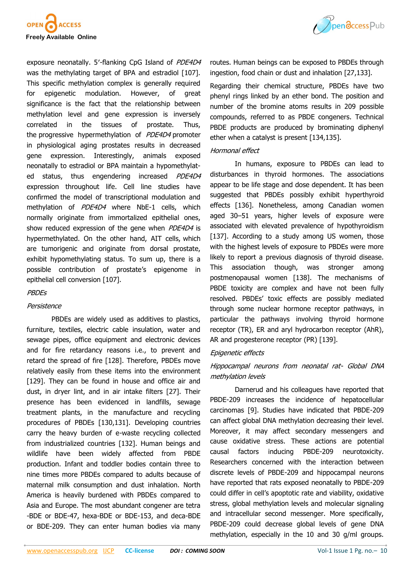



exposure neonatally. 5'-flanking CpG Island of PDE4D4 was the methylating target of BPA and estradiol [[107\].](file:///C:/Users/hussain/Downloads/2047_revised_Manuscript.doc#_ENREF_107#_ENREF_107) This specific methylation complex is generally required for epigenetic modulation. However, of great significance is the fact that the relationship between methylation level and gene expression is inversely correlated in the tissues of prostate. Thus, the progressive hypermethylation of PDE4D4 promoter in physiological aging prostates results in decreased gene expression. Interestingly, animals exposed neonatally to estradiol or BPA maintain a hypomethylated status, thus engendering increased PDE4D4 expression throughout life. Cell line studies have confirmed the model of transcriptional modulation and methylation of PDE4D4 where NbE-1 cells, which normally originate from immortalized epithelial ones, show reduced expression of the gene when PDE4D4 is hypermethylated. On the other hand, AIT cells, which are tumorigenic and originate from dorsal prostate, exhibit hypomethylating status. To sum up, there is a possible contribution of prostate's epigenome in epithelial cell conversion [[107\]](file:///C:/Users/hussain/Downloads/2047_revised_Manuscript.doc#_ENREF_107#_ENREF_107).

## **PBDEs**

## Persistence

PBDEs are widely used as additives to plastics, furniture, textiles, electric cable insulation, water and sewage pipes, office equipment and electronic devices and for fire retardancy reasons i.e., to prevent and retard the spread of fire [[128\].](file:///C:/Users/hussain/Downloads/2047_revised_Manuscript.doc#_ENREF_128#_ENREF_128) Therefore, PBDEs move relatively easily from these items into the environment [[129\].](file:///C:/Users/hussain/Downloads/2047_revised_Manuscript.doc#_ENREF_129#_ENREF_129) They can be found in house and office air and dust, in dryer lint, and in air intake filters [[27\].](file:///C:/Users/hussain/Downloads/2047_revised_Manuscript.doc#_ENREF_27#_ENREF_27) Their presence has been evidenced in landfills, sewage treatment plants, in the manufacture and recycling procedures of PBDEs [[130,](file:///C:/Users/hussain/Downloads/2047_revised_Manuscript.doc#_ENREF_130#_ENREF_130)[131\]](file:///C:/Users/hussain/Downloads/2047_revised_Manuscript.doc#_ENREF_131#_ENREF_131). Developing countries carry the heavy burden of e-waste recycling collected from industrialized countries [[132\].](file:///C:/Users/hussain/Downloads/2047_revised_Manuscript.doc#_ENREF_132#_ENREF_132) Human beings and wildlife have been widely affected from PBDE production. Infant and toddler bodies contain three to nine times more PBDEs compared to adults because of maternal milk consumption and dust inhalation. North America is heavily burdened with PBDEs compared to Asia and Europe. The most abundant congener are tetra -BDE or BDE-47, hexa-BDE or BDE-153, and deca-BDE or BDE-209. They can enter human bodies via many

routes. Human beings can be exposed to PBDEs through ingestion, food chain or dust and inhalation [[27,](file:///C:/Users/hussain/Downloads/2047_revised_Manuscript.doc#_ENREF_27#_ENREF_27)[133\].](file:///C:/Users/hussain/Downloads/2047_revised_Manuscript.doc#_ENREF_133#_ENREF_133)

Regarding their chemical structure, PBDEs have two phenyl rings linked by an ether bond. The position and number of the bromine atoms results in 209 possible compounds, referred to as PBDE congeners. Technical PBDE products are produced by brominating diphenyl ether when a catalyst is present [\[134,](file:///C:/Users/hussain/Downloads/2047_revised_Manuscript.doc#_ENREF_134#_ENREF_134)[135\].](file:///C:/Users/hussain/Downloads/2047_revised_Manuscript.doc#_ENREF_135#_ENREF_135)

## Hormonal effect

In humans, exposure to PBDEs can lead to disturbances in thyroid hormones. The associations appear to be life stage and dose dependent. It has been suggested that PBDEs possibly exhibit hyperthyroid effects [[136\].](file:///C:/Users/hussain/Downloads/2047_revised_Manuscript.doc#_ENREF_136#_ENREF_136) Nonetheless, among Canadian women aged 30–51 years, higher levels of exposure were associated with elevated prevalence of hypothyroidism [\[137\]](file:///C:/Users/hussain/Downloads/2047_revised_Manuscript.doc#_ENREF_137#_ENREF_137). According to a study among US women, those with the highest levels of exposure to PBDEs were more likely to report a previous diagnosis of thyroid disease. This association though, was stronger among postmenopausal women [[138\].](file:///C:/Users/hussain/Downloads/2047_revised_Manuscript.doc#_ENREF_138#_ENREF_138) The mechanisms of PBDE toxicity are complex and have not been fully resolved. PBDEs' toxic effects are possibly mediated through some nuclear hormone receptor pathways, in particular the pathways involving thyroid hormone receptor (TR), ER and aryl hydrocarbon receptor (AhR), AR and progesterone receptor (PR) [[139\].](file:///C:/Users/hussain/Downloads/2047_revised_Manuscript.doc#_ENREF_139#_ENREF_139)

## Epigenetic effects

# Hippocampal neurons from neonatal rat- Global DNA methylation levels

Darnerud and his colleagues have reported that PBDE-209 increases the incidence of hepatocellular carcinomas [[9\]](file:///C:/Users/hussain/Downloads/2047_revised_Manuscript.doc#_ENREF_9#_ENREF_9). Studies have indicated that PBDE-209 can affect global DNA methylation decreasing their level. Moreover, it may affect secondary messengers and cause oxidative stress. These actions are potential causal factors inducing PBDE-209 neurotoxicity. Researchers concerned with the interaction between discrete levels of PBDE-209 and hippocampal neurons have reported that rats exposed neonatally to PBDE-209 could differ in cell's apoptotic rate and viability, oxidative stress, global methylation levels and molecular signaling and intracellular second messenger. More specifically, PBDE-209 could decrease global levels of gene DNA methylation, especially in the 10 and 30 g/ml groups.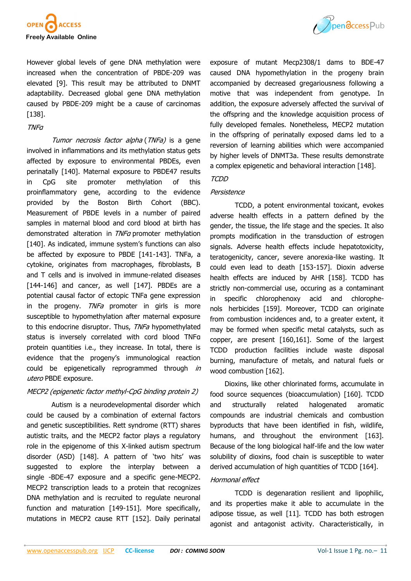



However global levels of gene DNA methylation were increased when the concentration of PBDE-209 was elevated [[9\].](file:///C:/Users/hussain/Downloads/2047_revised_Manuscript.doc#_ENREF_9#_ENREF_9) This result may be attributed to DNMT adaptability. Decreased global gene DNA methylation caused by PBDE-209 might be a cause of carcinomas [[138\].](file:///C:/Users/hussain/Downloads/2047_revised_Manuscript.doc#_ENREF_138#_ENREF_138)

## TNFα

Tumor necrosis factor alpha (TNFa) is a gene involved in inflammations and its methylation status gets affected by exposure to environmental PBDEs, even perinatally [[140\].](file:///C:/Users/hussain/Downloads/2047_revised_Manuscript.doc#_ENREF_140#_ENREF_140) Maternal exposure to PBDE47 results in CpG site promoter methylation of this proinflammatory gene, according to the evidence provided by the Boston Birth Cohort (BBC). Measurement of PBDE levels in a number of paired samples in maternal blood and cord blood at birth has demonstrated alteration in TNFa promoter methylation [[140\].](file:///C:/Users/hussain/Downloads/2047_revised_Manuscript.doc#_ENREF_140#_ENREF_140) As indicated, immune system's functions can also be affected by exposure to PBDE [141-[143\]](file:///C:/Users/hussain/Downloads/2047_revised_Manuscript.doc#_ENREF_141#_ENREF_141). TNFa, a cytokine, originates from macrophages, fibroblasts, B and T cells and is involved in immune-related diseases [144-[146\]](file:///C:/Users/hussain/Downloads/2047_revised_Manuscript.doc#_ENREF_144#_ENREF_144) and cancer, as well [[147\]](file:///C:/Users/hussain/Downloads/2047_revised_Manuscript.doc#_ENREF_147#_ENREF_147). PBDEs are a potential causal factor of ectopic TNFa gene expression in the progeny.  $TNFa$  promoter in girls is more susceptible to hypomethylation after maternal exposure to this endocrine disruptor. Thus, TNFa hypomethylated status is inversely correlated with cord blood TNFα protein quantities i.e., they increase. In total, there is evidence that the progeny's immunological reaction could be epigenetically reprogrammed through in utero PBDE exposure.

## MECP2 (epigenetic factor methyl-CpG binding protein 2)

Autism is a neurodevelopmental disorder which could be caused by a combination of external factors and genetic susceptibilities. Rett syndrome (RTT) shares autistic traits, and the MECP2 factor plays a regulatory role in the epigenome of this X-linked autism spectrum disorder (ASD) [[148\]](file:///C:/Users/hussain/Downloads/2047_revised_Manuscript.doc#_ENREF_148#_ENREF_148). A pattern of 'two hits' was suggested to explore the interplay between a single -BDE-47 exposure and a specific gene-MECP2. MECP2 transcription leads to a protein that recognizes DNA methylation and is recruited to regulate neuronal function and maturation [149-[151\]](file:///C:/Users/hussain/Downloads/2047_revised_Manuscript.doc#_ENREF_149#_ENREF_149). More specifically, mutations in MECP2 cause RTT [[152\]](file:///C:/Users/hussain/Downloads/2047_revised_Manuscript.doc#_ENREF_152#_ENREF_152). Daily perinatal exposure of mutant Mecp2308/1 dams to BDE-47 caused DNA hypomethylation in the progeny brain accompanied by decreased gregariousness following a motive that was independent from genotype. In addition, the exposure adversely affected the survival of the offspring and the knowledge acquisition process of fully developed females. Nonetheless, MECP2 mutation in the offspring of perinatally exposed dams led to a reversion of learning abilities which were accompanied by higher levels of DNMT3a. These results demonstrate a complex epigenetic and behavioral interaction [[148\].](file:///C:/Users/hussain/Downloads/2047_revised_Manuscript.doc#_ENREF_148#_ENREF_148)

## TCDD

## Persistence

TCDD, a potent environmental toxicant, evokes adverse health effects in a pattern defined by the gender, the tissue, the life stage and the species. It also prompts modification in the transduction of estrogen signals. Adverse health effects include hepatotoxicity, teratogenicity, cancer, severe anorexia-like wasting. It could even lead to death [153-[157\]](file:///C:/Users/hussain/Downloads/2047_revised_Manuscript.doc#_ENREF_153#_ENREF_153). Dioxin adverse health effects are induced by AHR [[158\].](file:///C:/Users/hussain/Downloads/2047_revised_Manuscript.doc#_ENREF_158#_ENREF_158) TCDD has strictly non-commercial use, occuring as a contaminant in specific chlorophenoxy acid and [chlorophe](https://en.wikipedia.org/wiki/Chlorophenol)[nols](https://en.wikipedia.org/wiki/Chlorophenol) [herbicides](https://en.wikipedia.org/wiki/Phenoxy_herbicides) [\[159\].](file:///C:/Users/hussain/Downloads/2047_revised_Manuscript.doc#_ENREF_159#_ENREF_159) Moreover, TCDD can originate from combustion incidences and, to a greater extent, it may be formed when specific metal catalysts, such as copper, are present [[160,](file:///C:/Users/hussain/Downloads/2047_revised_Manuscript.doc#_ENREF_160#_ENREF_160)[161\].](file:///C:/Users/hussain/Downloads/2047_revised_Manuscript.doc#_ENREF_161#_ENREF_161) Some of the largest TCDD production facilities include waste disposal burning, manufacture of metals, and natural fuels or wood combustion [[162\].](file:///C:/Users/hussain/Downloads/2047_revised_Manuscript.doc#_ENREF_162#_ENREF_162)

Dioxins, like other chlorinated forms, accumulate in food source sequences (bioaccumulation) [[160\].](file:///C:/Users/hussain/Downloads/2047_revised_Manuscript.doc#_ENREF_160#_ENREF_160) TCDD and structurally related halogenated aromatic compounds are industrial chemicals and combustion byproducts that have been identified in fish, wildlife, humans, and throughout the environment [[163\]](file:///C:/Users/hussain/Downloads/2047_revised_Manuscript.doc#_ENREF_163#_ENREF_163). Because of the long biological half-life and the low water solubility of dioxins, food chain is susceptible to water derived accumulation of high quantities of TCDD [\[164\]](file:///C:/Users/hussain/Downloads/2047_revised_Manuscript.doc#_ENREF_164#_ENREF_164).

## Hormonal effect

TCDD is degenaration resilient and lipophilic, and its properties make it able to accumulate in the adipose tissue, as well [\[11\].](file:///C:/Users/hussain/Downloads/2047_revised_Manuscript.doc#_ENREF_11#_ENREF_11) TCDD has both estrogen agonist and antagonist activity. Characteristically, in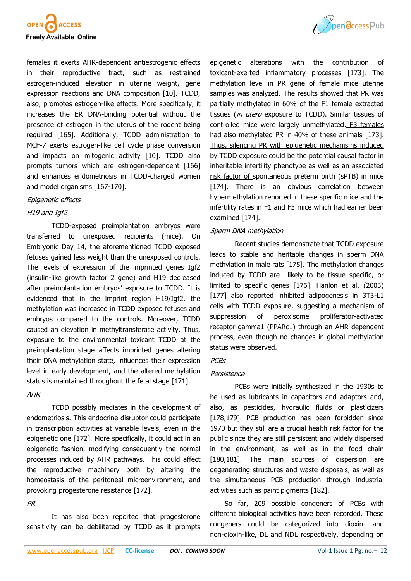



females it exerts AHR-dependent antiestrogenic effects in their reproductive tract, such as restrained estrogen-induced elevation in uterine weight, gene expression reactions and DNA composition [[10\].](file:///C:/Users/hussain/Downloads/2047_revised_Manuscript.doc#_ENREF_10#_ENREF_10) TCDD, also, promotes estrogen-like effects. More specifically, it increases the ER DNA-binding potential without the presence of estrogen in the uterus of the rodent being required [[165\].](file:///C:/Users/hussain/Downloads/2047_revised_Manuscript.doc#_ENREF_165#_ENREF_165) Additionally, TCDD administration to MCF-7 exerts estrogen-like cell cycle phase conversion and impacts on mitogenic activity [[10\].](file:///C:/Users/hussain/Downloads/2047_revised_Manuscript.doc#_ENREF_10#_ENREF_10) TCDD also prompts tumors which are estrogen-dependent [166] and enhances endometriosis in TCDD-charged women and model organisms [167-[170\]](file:///C:/Users/hussain/Downloads/2047_revised_Manuscript.doc#_ENREF_167#_ENREF_167).

#### Epigenetic effects

## H19 and Igf2

TCDD-exposed preimplantation embryos were transferred to unexposed recipients (mice). On Embryonic Day 14, the aforementioned TCDD exposed fetuses gained less weight than the unexposed controls. The levels of expression of the imprinted genes Igf2 (insulin-like growth factor 2 gene) and H19 decreased after preimplantation embryos' exposure to TCDD. It is evidenced that in the imprint region H19/Igf2, the methylation was increased in TCDD exposed fetuses and embryos compared to the controls. Moreover, TCDD caused an elevation in methyltransferase activity. Thus, exposure to the environmental toxicant TCDD at the preimplantation stage affects imprinted genes altering their DNA methylation state, influences their expression level in early development, and the altered methylation status is maintained throughout the fetal stage [[171\].](file:///C:/Users/hussain/Downloads/2047_revised_Manuscript.doc#_ENREF_171#_ENREF_171)

## AΗR

TCDD possibly mediates in the development of endometriosis. This endocrine disruptor could participate in transcription activities at variable levels, even in the epigenetic one [[172\].](file:///C:/Users/hussain/Downloads/2047_revised_Manuscript.doc#_ENREF_172#_ENREF_172) More specifically, it could act in an epigenetic fashion, modifying consequently the normal processes induced by AHR pathways. This could affect the reproductive machinery both by altering the homeostasis of the peritoneal microenvironment, and provoking progesterone resistance [[172\].](file:///C:/Users/hussain/Downloads/2047_revised_Manuscript.doc#_ENREF_172#_ENREF_172)

## [PR](file:///C:/Users/hussain/Downloads/2047_revised_Manuscript.doc#bib0080#bib0080)

It has also been reported that progesterone sensitivity can be debilitated by TCDD as it prompts epigenetic alterations with the contribution of toxicant-exerted inflammatory processes [[173\].](file:///C:/Users/hussain/Downloads/2047_revised_Manuscript.doc#_ENREF_173#_ENREF_173) The methylation level in PR gene of female mice uterine samples was analyzed. The results showed that PR was partially methylated in 60% of the F1 female extracted tissues (in utero exposure to TCDD). Similar tissues of controlled mice were largely unmethylated. F3 females had also methylated PR in 40% of these animals [[173\]](file:///C:/Users/hussain/Downloads/2047_revised_Manuscript.doc#_ENREF_173#_ENREF_173). Thus, silencing PR with epigenetic mechanisms induced by TCDD exposure could be the potential causal factor in inheritable infertility phenotype as well as an associated risk factor of spontaneous preterm birth (sPTB) in mice [\[174\]](file:///C:/Users/hussain/Downloads/2047_revised_Manuscript.doc#_ENREF_174#_ENREF_174). There is an obvious correlation between hypermethylation reported in these specific mice and the infertility rates in F1 and F3 mice which had earlier been examined [[174\].](file:///C:/Users/hussain/Downloads/2047_revised_Manuscript.doc#_ENREF_174#_ENREF_174)

## Sperm DNA methylation

Recent studies demonstrate that TCDD exposure leads to stable and heritable changes in sperm DNA methylation in male rats [[175\].](file:///C:/Users/hussain/Downloads/2047_revised_Manuscript.doc#_ENREF_175#_ENREF_175) Τhe methylation changes induced by TCDD are likely to be tissue specific, or limited to specific genes [\[176\]](file:///C:/Users/hussain/Downloads/2047_revised_Manuscript.doc#_ENREF_176#_ENREF_176). Hanlon et al. (2003) [\[177\]](file:///C:/Users/hussain/Downloads/2047_revised_Manuscript.doc#_ENREF_177#_ENREF_177) also reported inhibited adipogenesis in 3T3-L1 cells with TCDD exposure, suggesting a mechanism of suppression of peroxisome proliferator-activated receptor-gamma1 (PPARc1) through an AHR dependent process, even though no changes in global methylation status were observed.

## PCBs

## Persistence

PCBs were initially synthesized in the 1930s to be used as lubricants in capacitors and adaptors and, also, as pesticides, hydraulic fluids or plasticizers [\[178,](file:///C:/Users/hussain/Downloads/2047_revised_Manuscript.doc#_ENREF_178#_ENREF_178)[179\].](file:///C:/Users/hussain/Downloads/2047_revised_Manuscript.doc#_ENREF_179#_ENREF_179) PCB production has been forbidden since 1970 but they still are a crucial health risk factor for the public since they are still persistent and widely dispersed in the environment, as well as in the food chain [\[180,](file:///C:/Users/hussain/Downloads/2047_revised_Manuscript.doc#_ENREF_180#_ENREF_180)[181\].](file:///C:/Users/hussain/Downloads/2047_revised_Manuscript.doc#_ENREF_181#_ENREF_181) The main sources of dispersion are degenerating structures and waste disposals, as well as the simultaneous PCB production through industrial activities such as paint pigments [\[182\]](file:///C:/Users/hussain/Downloads/2047_revised_Manuscript.doc#_ENREF_182#_ENREF_182).

So far, 209 possible congeners of PCBs with different biological activities have been recorded. These congeners could be categorized into dioxin- and non-dioxin-like, DL and NDL respectively, depending on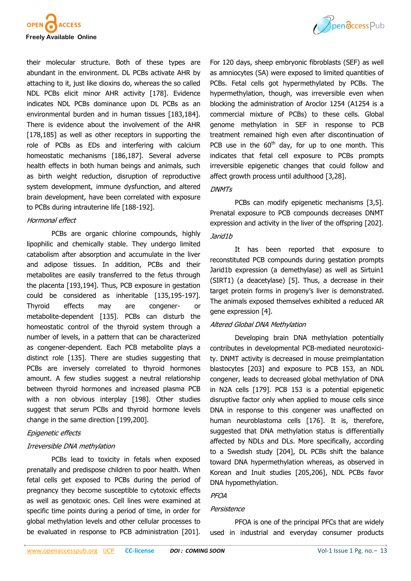



their molecular structure. Both of these types are abundant in the environment. DL PCBs activate AHR by attaching to it, just like dioxins do, whereas the so called NDL PCBs elicit minor AHR activity [[178\]](file:///C:/Users/hussain/Downloads/2047_revised_Manuscript.doc#_ENREF_178#_ENREF_178). Evidence indicates NDL PCBs dominance upon DL PCBs as an environmental burden and in human tissues [[183,](file:///C:/Users/hussain/Downloads/2047_revised_Manuscript.doc#_ENREF_183#_ENREF_183)[184\].](file:///C:/Users/hussain/Downloads/2047_revised_Manuscript.doc#_ENREF_184#_ENREF_184) There is evidence about the involvement of the AHR [[178,](file:///C:/Users/hussain/Downloads/2047_revised_Manuscript.doc#_ENREF_178#_ENREF_178)[185\]](file:///C:/Users/hussain/Downloads/2047_revised_Manuscript.doc#_ENREF_185#_ENREF_185) as well as other receptors in supporting the role of PCBs as EDs and interfering with calcium homeostatic mechanisms [[186,](file:///C:/Users/hussain/Downloads/2047_revised_Manuscript.doc#_ENREF_186#_ENREF_186)[187\]](file:///C:/Users/hussain/Downloads/2047_revised_Manuscript.doc#_ENREF_187#_ENREF_187). Several adverse health effects in both human beings and animals, such as birth weight reduction, disruption of reproductive system development, immune dysfunction, and altered brain development, have been correlated with exposure to PCBs during intrauterine life [188-[192\]](file:///C:/Users/hussain/Downloads/2047_revised_Manuscript.doc#_ENREF_188#_ENREF_188).

## Hormonal effect

PCBs are organic chlorine compounds, highly lipophilic and chemically stable. They undergo limited catabolism after absorption and accumulate in the liver and adipose tissues. In addition, PCBs and their metabolites are easily transferred to the fetus through the placenta [[193,](file:///C:/Users/hussain/Downloads/2047_revised_Manuscript.doc#_ENREF_193#_ENREF_193)[194\].](file:///C:/Users/hussain/Downloads/2047_revised_Manuscript.doc#_ENREF_194#_ENREF_194) Thus, PCB exposure in gestation could be considered as inheritable [[135,](file:///C:/Users/hussain/Downloads/2047_revised_Manuscript.doc#_ENREF_135#_ENREF_135)195-[197\].](file:///C:/Users/hussain/Downloads/2047_revised_Manuscript.doc#_ENREF_195#_ENREF_195) Thyroid effects may are congener- or metabolite-dependent [[135\].](file:///C:/Users/hussain/Downloads/2047_revised_Manuscript.doc#_ENREF_135#_ENREF_135) PCBs can disturb the homeostatic control of the thyroid system through a number of levels, in a pattern that can be characterized as congener-dependent. Each PCB metabolite plays a distinct role [\[135\].](file:///C:/Users/hussain/Downloads/2047_revised_Manuscript.doc#_ENREF_135#_ENREF_135) There are studies suggesting that PCBs are inversely correlated to thyroid hormones amount. A few studies suggest a neutral relationship between thyroid hormones and increased plasma PCB with a non obvious interplay [[198\].](file:///C:/Users/hussain/Downloads/2047_revised_Manuscript.doc#_ENREF_198#_ENREF_198) Other studies suggest that serum PCBs and thyroid hormone levels change in the same direction [\[199,](file:///C:/Users/hussain/Downloads/2047_revised_Manuscript.doc#_ENREF_199#_ENREF_199)[200\].](file:///C:/Users/hussain/Downloads/2047_revised_Manuscript.doc#_ENREF_200#_ENREF_200)

#### Epigenetic effects

#### Irreversible DNA methylation

PCBs lead to toxicity in fetals when exposed prenatally and predispose children to poor health. When fetal cells get exposed to PCBs during the period of pregnancy they become susceptible to cytotoxic effects as well as genotoxic ones. Cell lines were examined at specific time points during a period of time, in order for global methylation levels and other cellular processes to be evaluated in response to PCB administration [[201\].](file:///C:/Users/hussain/Downloads/2047_revised_Manuscript.doc#_ENREF_201#_ENREF_201)

For 120 days, sheep embryonic fibroblasts (SEF) as well as amniocytes (SA) were exposed to limited quantities of PCBs. Fetal cells got hypermethylated by PCBs. The hypermethylation, though, was irreversible even when blocking the administration of Aroclor 1254 (A1254 is a commercial mixture of PCBs) to these cells. Global genome methylation in SEF in response to PCB treatment remained high even after discontinuation of PCB use in the  $60<sup>th</sup>$  day, for up to one month. This indicates that fetal cell exposure to PCBs prompts irreversible epigenetic changes that could follow and affect growth process until adulthood [[3,](file:///C:/Users/hussain/Downloads/2047_revised_Manuscript.doc#_ENREF_3#_ENREF_3)[28\].](file:///C:/Users/hussain/Downloads/2047_revised_Manuscript.doc#_ENREF_28#_ENREF_28)

#### **DNMTs**

PCBs can modify epigenetic mechanisms [\[3,](file:///C:/Users/hussain/Downloads/2047_revised_Manuscript.doc#_ENREF_3#_ENREF_3)[5\].](file:///C:/Users/hussain/Downloads/2047_revised_Manuscript.doc#_ENREF_5#_ENREF_5) Prenatal exposure to PCB compounds decreases DNMT expression and activity in the liver of the offspring [[202\].](file:///C:/Users/hussain/Downloads/2047_revised_Manuscript.doc#_ENREF_202#_ENREF_202)

#### Jarid1b

It has been reported that exposure to reconstituted PCB compounds during gestation prompts Jarid1b expression (a demethylase) as well as Sirtuin1 (SIRT1) (a deacetylase) [[5\]](file:///C:/Users/hussain/Downloads/2047_revised_Manuscript.doc#_ENREF_5#_ENREF_5). Thus, a decrease in their target protein forms in progeny's liver is demonstrated. The animals exposed themselves exhibited a reduced AR gene expression [[4\]](file:///C:/Users/hussain/Downloads/2047_revised_Manuscript.doc#_ENREF_4#_ENREF_4).

#### Altered Global DNA Methylation

Developing brain DNA methylation potentially contributes in developmental PCB-mediated neurotoxicity. DNMT activity is decreased in mouse preimplantation blastocytes [203] and exposure to PCB 153, an NDL congener, leads to decreased global methylation of DNA in N2A cells [179]. PCB 153 is a potential epigenetic disruptive factor only when applied to mouse cells since DNA in response to this congener was unaffected on human neuroblastoma cells [176]. It is, therefore, suggested that DNA methylation status is differentially affected by NDLs and DLs. More specifically, according to a Swedish study [204], DL PCBs shift the balance toward DNA hypermethylation whereas, as observed in Korean and Inuit studies [205,206], NDL PCBs favor DNA hypomethylation.

#### PFOA

## Persistence

PFOA is one of the principal PFCs that are widely used in industrial and everyday consumer products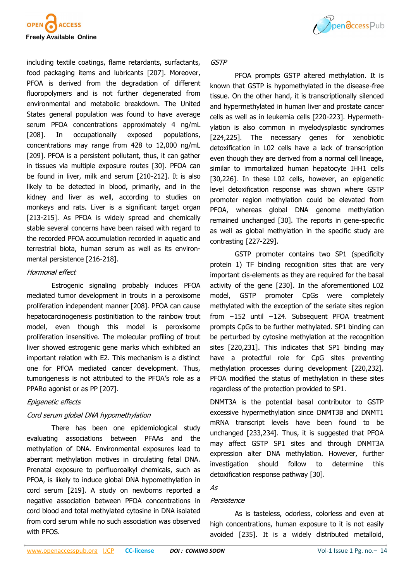

including textile coatings, flame retardants, surfactants, food packaging items and lubricants [207]. Moreover, PFOA is derived from the degradation of different fluoropolymers and is not further degenerated from environmental and metabolic breakdown. The United States general population was found to have average serum PFOA concentrations approximately 4 ng/mL [208]. In occupationally exposed populations, concentrations may range from 428 to 12,000 ng/mL [209]. PFOA is a persistent pollutant, thus, it can gather in tissues via multiple exposure routes [30]. PFOA can be found in liver, milk and serum [210-212]. It is also likely to be detected in blood, primarily, and in the kidney and liver as well, according to studies on monkeys and rats. Liver is a significant target organ [213-215]. As PFOA is widely spread and chemically stable several concerns have been raised with regard to the recorded PFOA accumulation recorded in aquatic and terrestrial biota, human serum as well as its environmental persistence [216-218].

#### Hormonal effect

Estrogenic signaling probably induces PFOA mediated tumor development in trouts in a peroxisome proliferation independent manner [208]. PFOA can cause hepatocarcinogenesis postinitiation to the rainbow trout model, even though this model is peroxisome proliferation insensitive. The molecular profiling of trout liver showed estrogenic gene marks which exhibited an important relation with E2. This mechanism is a distinct one for PFOA mediated cancer development. Thus, tumorigenesis is not attributed to the PFOA's role as a PPARα agonist or as PP [207].

## Epigenetic effects

## Cord serum global DNA hypomethylation

There has been one epidemiological study evaluating associations between PFAAs and the methylation of DNA. Environmental exposures lead to aberrant methylation motives in circulating fetal DNA. Prenatal exposure to perfluoroalkyl chemicals, such as PFOA, is likely to induce global DNA hypomethylation in cord serum [219]. A study on newborns reported a negative association between PFOA concentrations in cord blood and total methylated cytosine in DNA isolated from cord serum while no such association was observed with PFOS.



#### GSTP

PFOA prompts GSTP altered methylation. It is known that GSTP is hypomethylated in the disease-free tissue. On the other hand, it is transcriptionally silenced and hypermethylated in human liver and prostate cancer cells as well as in leukemia cells [220-223]. Hypermethylation is also common in myelodysplastic syndromes [224,225]. The necessary genes for xenobiotic detoxification in L02 cells have a lack of transcription even though they are derived from a normal cell lineage, similar to immortalized human hepatocyte IHH1 cells [30,226]. In these L02 cells, however, an epigenetic level detoxification response was shown where GSTP promoter region methylation could be elevated from PFOA, whereas global DNA genome methylation remained unchanged [30]. The reports in gene-specific as well as global methylation in the specific study are contrasting [227-229].

GSTP promoter contains two SP1 (specificity protein 1) TF binding recognition sites that are very important cis-elements as they are required for the basal activity of the gene [230]. In the aforementioned L02 model, GSTP promoter CpGs were completely methylated with the exception of the seriate sites region from −152 until −124. Subsequent PFOA treatment prompts CpGs to be further methylated. SP1 binding can be perturbed by cytosine methylation at the recognition sites [220,231]. This indicates that SP1 binding may have a protectful role for CpG sites preventing methylation processes during development [220,232]. PFOA modified the status of methylation in these sites regardless of the protection provided to SP1.

DNMT3A is the potential basal contributor to GSTP excessive hypermethylation since DNMT3B and DNMT1 mRNA transcript levels have been found to be unchanged [233,234]. Thus, it is suggested that PFOA may affect GSTP SP1 sites and through DNMT3A expression alter DNA methylation. However, further investigation should follow to determine this detoxification response pathway [30].

## As

#### Persistence

As is tasteless, odorless, colorless and even at high concentrations, human exposure to it is not easily avoided [235]. It is a widely distributed metalloid,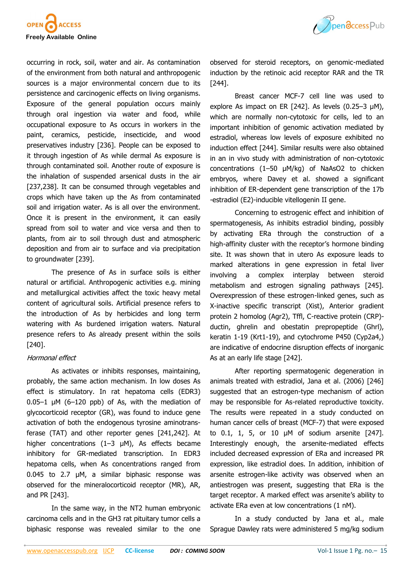

occurring in rock, soil, water and air. As contamination of the environment from both natural and anthropogenic sources is a major environmental concern due to its persistence and carcinogenic effects on living organisms. Exposure of the general population occurs mainly through oral ingestion via water and food, while occupational exposure to As occurs in workers in the paint, ceramics, pesticide, insecticide, and wood preservatives industry [236]. People can be exposed to it through ingestion of As while dermal As exposure is through contaminated soil. Another route of exposure is the inhalation of suspended arsenical dusts in the air [237,238]. It can be consumed through vegetables and crops which have taken up the As from contaminated soil and irrigation water. As is all over the environment. Once it is present in the environment, it can easily spread from soil to water and vice versa and then to plants, from air to soil through dust and atmospheric deposition and from air to surface and via precipitation to groundwater [239].

The presence of As in surface soils is either natural or artificial. Anthropogenic activities e.g. mining and metallurgical activities affect the toxic heavy metal content of agricultural soils. Artificial presence refers to the introduction of As by herbicides and long term watering with As burdened irrigation waters. Natural presence refers to As already present within the soils [240].

#### Hormonal effect

As activates or inhibits responses, maintaining, probably, the same action mechanism. In low doses As effect is stimulatory. In rat hepatoma cells (EDR3)  $0.05-1$  µM (6-120 ppb) of As, with the mediation of glycocorticoid receptor (GR), was found to induce gene activation of both the endogenous tyrosine aminotransferase (TAT) and other reporter genes [241,242]. At higher concentrations (1–3 μM), As effects became inhibitory for GR-mediated transcription. In EDR3 hepatoma cells, when As concentrations ranged from 0.045 to 2.7 μM, a similar biphasic response was observed for the mineralocorticoid receptor (MR), AR, and PR [243].

In the same way, in the NT2 human embryonic carcinoma cells and in the GH3 rat pituitary tumor cells a biphasic response was revealed similar to the one



observed for steroid receptors, on genomic-mediated induction by the retinoic acid receptor RAR and the TR [244].

Breast cancer MCF-7 cell line was used to explore As impact on ER [242]. As levels (0.25–3 μM), which are normally non-cytotoxic for cells, led to an important inhibition of genomic activation mediated by estradiol, whereas low levels of exposure exhibited no induction effect [244]. Similar results were also obtained in an in vivo study with administration of non-cytotoxic concentrations (1–50 μM/kg) of NaAsO2 to chicken embryos, where Davey et al. showed a significant inhibition of ER-dependent gene transcription of the 17b -estradiol (E2)-inducible vitellogenin II gene.

Concerning to estrogenic effect and inhibition of spermatogenesis, As inhibits estradiol binding, possibly by activating ERa through the construction of a high-affinity cluster with the receptor's hormone binding site. It was shown that in utero As exposure leads to marked alterations in gene expression in fetal liver involving a complex interplay between steroid metabolism and estrogen signaling pathways [245]. Overexpression of these estrogen-linked genes, such as X-inactive specific transcript (Xist), Anterior gradient protein 2 homolog (Agr2), Tffl, C-reactive protein (CRP) ductin, ghrelin and obestatin prepropeptide (Ghrl), keratin 1-19 (Krt1-19), and cytochrome P450 (Cyp2a4,) are indicative of endocrine disruption effects of inorganic As at an early life stage [242].

After reporting spermatogenic degeneration in animals treated with estradiol, Jana et al. (2006) [246] suggested that an estrogen-type mechanism of action may be responsible for As-related reproductive toxicity. The results were repeated in a study conducted on human cancer cells of breast (MCF-7) that were exposed to 0.1, 1, 5, or 10 μM of sodium arsenite [247]. Interestingly enough, the arsenite-mediated effects included decreased expression of ERa and increased PR expression, like estradiol does. In addition, inhibition of arsenite estrogen-like activity was observed when an antiestrogen was present, suggesting that ERa is the target receptor. A marked effect was arsenite's ability to activate ERa even at low concentrations (1 nM).

In a study conducted by Jana et al., male Sprague Dawley rats were administered 5 mg/kg sodium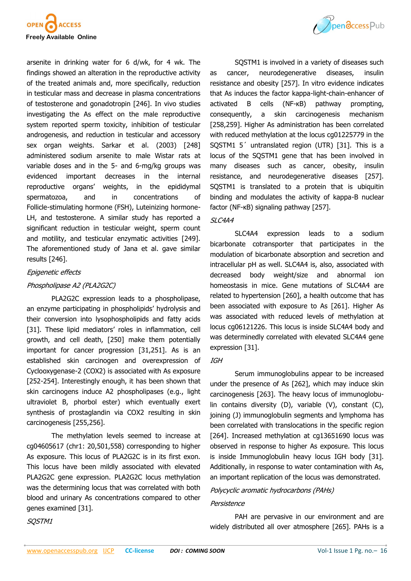

arsenite in drinking water for 6 d/wk, for 4 wk. The findings showed an alteration in the reproductive activity of the treated animals and, more specifically, reduction in testicular mass and decrease in plasma concentrations of testosterone and gonadotropin [246]. In vivo studies investigating the As effect on the male reproductive system reported sperm toxicity, inhibition of testicular androgenesis, and reduction in testicular and accessory sex organ weights. Sarkar et al. (2003) [248] administered sodium arsenite to male Wistar rats at variable doses and in the 5- and 6-mg/kg groups was evidenced important decreases in the internal reproductive organs' weights, in the epididymal spermatozoa, and in concentrations of Follicle-stimulating hormone (FSH), Luteinizing hormone-LH, and testosterone. A similar study has reported a significant reduction in testicular weight, sperm count and motility, and testicular enzymatic activities [249]. The aforementioned study of Jana et al. gave similar results [246].

#### Epigenetic effects

## Phospholipase A2 (PLA2G2C)

PLA2G2C expression leads to a phospholipase, an enzyme participating in phospholipids' hydrolysis and their conversion into lysophospholipids and fatty acids [31]. These lipid mediators' roles in inflammation, cell growth, and cell death, [250] make them potentially important for cancer progression [31,251]. As is an established skin carcinogen and overexpression of Cyclooxygenase-2 (COX2) is associated with As exposure [252-254]. Interestingly enough, it has been shown that skin carcinogens induce A2 phospholipases (e.g., light ultraviolet B, phorbol ester) which eventually exert synthesis of prostaglandin via COX2 resulting in skin carcinogenesis [255,256].

The methylation levels seemed to increase at cg04605617 (chr1: 20,501,558) corresponding to higher As exposure. This locus of PLA2G2C is in its first exon. This locus have been mildly associated with elevated PLA2G2C gene expression. PLA2G2C locus methylation was the determining locus that was correlated with both blood and urinary As concentrations compared to other genes examined [31].



SQSTM1 is involved in a variety of diseases such as cancer, neurodegenerative diseases, insulin resistance and obesity [257]. In vitro evidence indicates that As induces the factor kappa-light-chain-enhancer of activated B cells (NF-κB) pathway prompting, consequently, a skin carcinogenesis mechanism [258,259]. Higher As administration has been correlated with reduced methylation at the locus cg01225779 in the SQSTM1 5´ untranslated region (UTR) [31]. This is a locus of the SQSTM1 gene that has been involved in many diseases such as cancer, obesity, insulin resistance, and neurodegenerative diseases [257]. SQSTM1 is translated to a protein that is ubiquitin binding and modulates the activity of kappa-B nuclear factor (NF-κB) signaling pathway [257].

#### SLC4A4

SLC4A4 expression leads to a sodium bicarbonate cotransporter that participates in the modulation of bicarbonate absorption and secretion and intracellular pH as well. SLC4A4 is, also, associated with decreased body weight/size and abnormal ion homeostasis in mice. Gene mutations of SLC4A4 are related to hypertension [260], a health outcome that has been associated with exposure to As [261]. Higher As was associated with reduced levels of methylation at locus cg06121226. This locus is inside SLC4A4 body and was determinedly correlated with elevated SLC4A4 gene expression [31].

#### IGH

Serum immunoglobulins appear to be increased under the presence of As [262], which may induce skin carcinogenesis [263]. The heavy locus of immunoglobulin contains diversity (D), variable (V), constant (C), joining (J) immunoglobulin segments and lymphoma has been correlated with translocations in the specific region [264]. Increased methylation at cg13651690 locus was observed in response to higher As exposure. This locus is inside Immunoglobulin heavy locus IGH body [31]. Additionally, in response to water contamination with As, an important replication of the locus was demonstrated.

#### Polycyclic aromatic hydrocarbons (PAHs)

#### Persistence

PAH are pervasive in our environment and are widely distributed all over atmosphere [265]. PAHs is a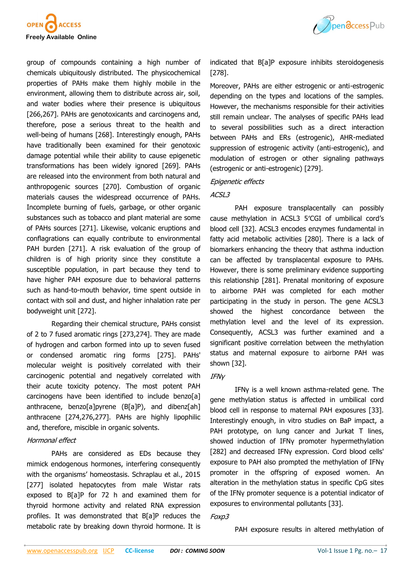

group of compounds containing a high number of chemicals ubiquitously distributed. The physicochemical properties of PAHs make them highly mobile in the environment, allowing them to distribute across air, soil, and water bodies where their presence is ubiquitous [266,267]. PAHs are genotoxicants and carcinogens and, therefore, pose a serious threat to the health and well-being of humans [268]. Interestingly enough, PAHs have traditionally been examined for their genotoxic damage potential while their ability to cause epigenetic transformations has been widely ignored [269]. PAHs are released into the environment from both natural and anthropogenic sources [270]. Combustion of organic materials causes the widespread occurrence of PAHs. Incomplete burning of fuels, garbage, or other organic substances such as tobacco and plant material are some of PAHs sources [271]. Likewise, volcanic eruptions and conflagrations can equally contribute to environmental PAH burden [271]. A risk evaluation of the group of children is of high priority since they constitute a susceptible population, in part because they tend to have higher PAH exposure due to behavioral patterns such as hand-to-mouth behavior, time spent outside in contact with soil and dust, and higher inhalation rate per bodyweight unit [272].

Regarding their chemical structure, PAHs consist of 2 to 7 fused aromatic rings [273,274]. They are made of hydrogen and carbon formed into up to seven fused or condensed aromatic ring forms [275]. PAHs' molecular weight is positively correlated with their carcinogenic potential and negatively correlated with their acute toxicity potency. The most potent PAH carcinogens have been identified to include benzo[a] anthracene, benzo[a]pyrene (B[a]P), and dibenz[ah] anthracene [274,276,277]. PAHs are highly lipophilic and, therefore, miscible in organic solvents.

## Hormonal effect

PAHs are considered as EDs because they mimick endogenous hormones, interfering consequently with the organisms' homeostasis. Schraplau et al., 2015 [277] isolated hepatocytes from male Wistar rats exposed to B[a]P for 72 h and examined them for thyroid hormone activity and related RNA expression profiles. It was demonstrated that B[a]P reduces the metabolic rate by breaking down thyroid hormone. It is



indicated that B[a]P exposure inhibits steroidogenesis [278].

Moreover, PAHs are either estrogenic or anti-estrogenic depending on the types and locations of the samples. However, the mechanisms responsible for their activities still remain unclear. The analyses of specific PAHs lead to several possibilities such as a direct interaction between PAHs and ERs (estrogenic), AHR-mediated suppression of estrogenic activity (anti-estrogenic), and modulation of estrogen or other signaling pathways (estrogenic or anti-estrogenic) [279].

#### Epigenetic effects

## ACSL3

PAH exposure transplacentally can possibly cause methylation in ACSL3 5′CGI of umbilical cord's blood cell [32]. ACSL3 encodes enzymes fundamental in fatty acid metabolic activities [280]. There is a lack of biomarkers enhancing the theory that asthma induction can be affected by transplacental exposure to PAHs. However, there is some preliminary evidence supporting this relationship [281]. Prenatal monitoring of exposure to airborne PAH was completed for each mother participating in the study in person. The gene ACSL3 showed the highest concordance between the methylation level and the level of its expression. Consequently, ACSL3 was further examined and a significant positive correlation between the methylation status and maternal exposure to airborne PAH was shown [32].

## IFNγ

IFNγ is a well known asthma-related gene. The gene methylation status is affected in umbilical cord blood cell in response to maternal PAH exposures [33]. Interestingly enough, in vitro studies on BaP impact, a PAH prototype, on lung cancer and Jurkat T lines, showed induction of IFNγ promoter hypermethylation [282] and decreased IFNγ expression. Cord blood cells' exposure to PAH also prompted the methylation of IFNγ promoter in the offspring of exposed women. An alteration in the methylation status in specific CpG sites of the IFNγ promoter sequence is a potential indicator of exposures to environmental pollutants [33].

## Foxp3

PAH exposure results in altered methylation of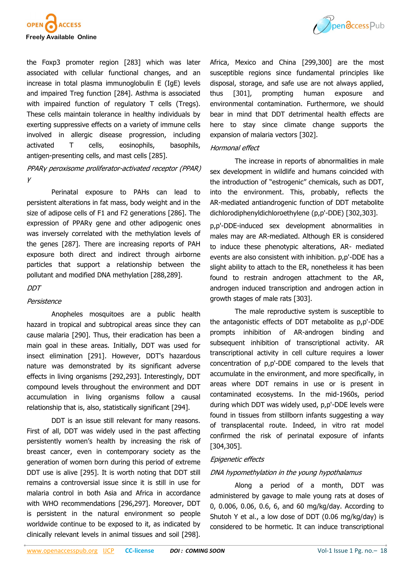

the Foxp3 promoter region [283] which was later associated with cellular functional changes, and an increase in total plasma immunoglobulin E (IgE) levels and impaired Treg function [284]. Asthma is associated with impaired function of regulatory T cells (Tregs). These cells maintain tolerance in healthy individuals by exerting suppressive effects on a variety of immune cells involved in allergic disease progression, including activated T cells, eosinophils, basophils, antigen-presenting cells, and mast cells [285].

# PPARγ peroxisome proliferator-activated receptor (PPAR) γ

Perinatal exposure to PAHs can lead to persistent alterations in fat mass, body weight and in the size of adipose cells of F1 and F2 generations [286]. The expression of PPAR<sub>V</sub> gene and other adipogenic ones was inversely correlated with the methylation levels of the genes [287]. There are increasing reports of PAH exposure both direct and indirect through airborne particles that support a relationship between the pollutant and modified DNA methylation [288,289].

## **DDT**

## Persistence

Anopheles mosquitoes are a public health hazard in tropical and subtropical areas since they can cause malaria [290]. Thus, their eradication has been a main goal in these areas. Initially, DDT was used for insect elimination [291]. However, DDT's hazardous nature was demonstrated by its significant adverse effects in living organisms [292,293]. Interestingly, DDT compound levels throughout the environment and DDT accumulation in living organisms follow a causal relationship that is, also, statistically significant [294].

DDT is an issue still relevant for many reasons. First of all, DDT was widely used in the past affecting persistently women's health by increasing the risk of breast cancer, even in contemporary society as the generation of women born during this period of extreme DDT use is alive [295]. It is worth noting that DDT still remains a controversial issue since it is still in use for malaria control in both Asia and Africa in accordance with WHO recommendations [296,297]. Moreover, DDT is persistent in the natural environment so people worldwide continue to be exposed to it, as indicated by clinically relevant levels in animal tissues and soil [298].



Africa, Mexico and China [299,300] are the most susceptible regions since fundamental principles like disposal, storage, and safe use are not always applied, thus [301], prompting human exposure and environmental contamination. Furthermore, we should bear in mind that DDT detrimental health effects are here to stay since climate change supports the expansion of malaria vectors [302].

## Hormonal effect

The increase in reports of abnormalities in male sex development in wildlife and humans coincided with the introduction of "estrogenic" chemicals, such as DDT, into the environment. This, probably, reflects the AR-mediated antiandrogenic function of DDT metabolite dichlorodiphenyldichloroethylene (p,p'-DDE) [302,303].

p,p'-DDE-induced sex development abnormalities in males may are AR-mediated. Although ER is considered to induce these phenotypic alterations, AR- mediated events are also consistent with inhibition. p,p'-DDE has a slight ability to attach to the ER, nonetheless it has been found to restrain androgen attachment to the AR, androgen induced transcription and androgen action in growth stages of male rats [303].

The male reproductive system is susceptible to the antagonistic effects of DDT metabolite as p,p'-DDE prompts inhibition of AR-androgen binding and subsequent inhibition of transcriptional activity. AR transcriptional activity in cell culture requires a lower concentration of p,p'-DDE compared to the levels that accumulate in the environment, and more specifically, in areas where DDT remains in use or is present in contaminated ecosystems. In the mid-1960s, period during which DDT was widely used, p,p'-DDE levels were found in tissues from stillborn infants suggesting a way of transplacental route. Indeed, in vitro rat model confirmed the risk of perinatal exposure of infants [304,305].

## Epigenetic effects

## DNA hypomethylation in the young hypothalamus

Along a period of a month, DDT was administered by gavage to male young rats at doses of 0, 0.006, 0.06, 0.6, 6, and 60 mg/kg/day. According to Shutoh Y et al., a low dose of DDT (0.06 mg/kg/day) is considered to be hormetic. It can induce transcriptional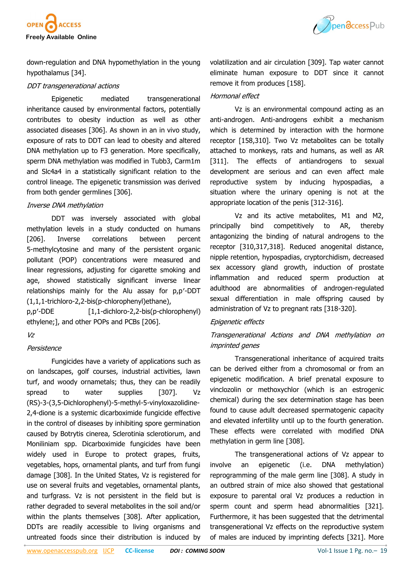

Ppendccess Pub

down-regulation and DNA hypomethylation in the young hypothalamus [34].

#### DDT transgenerational actions

Epigenetic mediated transgenerational inheritance caused by environmental factors, potentially contributes to obesity induction as well as other associated diseases [306]. As shown in an in vivo study, exposure of rats to DDT can lead to obesity and altered DNA methylation up to F3 generation. More specifically, sperm DNA methylation was modified in Tubb3, Carm1m and Slc4a4 in a statistically significant relation to the control lineage. The epigenetic transmission was derived from both gender germlines [306].

#### Inverse DNA methylation

DDT was inversely associated with global methylation levels in a study conducted on humans [206]. Inverse correlations between percent 5-methylcytosine and many of the persistent organic pollutant (POP) concentrations were measured and linear regressions, adjusting for cigarette smoking and age, showed statistically significant inverse linear relationships mainly for the Alu assay for p,p′-DDT (1,1,1-trichloro-2,2-bis(p-chlorophenyl)ethane),

p,p′-DDE [1,1-dichloro-2,2-bis(p-chlorophenyl) ethylene;], and other POPs and PCBs [206].

## Vz

## **Persistence**

Fungicides have a variety of applications such as on landscapes, golf courses, industrial activities, lawn turf, and woody ornametals; thus, they can be readily spread to water supplies [307]. Vz (RS)-3-(3,5-Dichlorophenyl)-5-methyl-5-vinyloxazolidine-2,4-dione is a systemic dicarboximide fungicide effective in the control of diseases by inhibiting spore germination caused by Botrytis cinerea, Sclerotinia sclerotiorum, and Moniliniam spp. Dicarboximide fungicides have been widely used in Europe to protect grapes, fruits, vegetables, hops, ornamental plants, and turf from fungi damage [308]. In the United States, Vz is registered for use on several fruits and vegetables, ornamental plants, and turfgrass. Vz is not persistent in the field but is rather degraded to several metabolites in the soil and/or within the plants themselves [308]. After application, DDTs are readily accessible to living organisms and untreated foods since their distribution is induced by volatilization and air circulation [309]. Tap water cannot eliminate human exposure to DDT since it cannot remove it from produces [158].

## Hormonal effect

Vz is an environmental compound acting as an anti-androgen. Anti-androgens exhibit a mechanism which is determined by interaction with the hormone receptor [158,310]. Two Vz metabolites can be totally attached to monkeys, rats and humans, as well as AR [311]. The effects of antiandrogens to sexual development are serious and can even affect male reproductive system by inducing hypospadias, a situation where the urinary opening is not at the appropriate location of the penis [312-316].

Vz and its active metabolites, M1 and M2, principally bind competitively to AR, thereby antagonizing the binding of natural androgens to the receptor [310,317,318]. Reduced anogenital distance, nipple retention, hypospadias, cryptorchidism, decreased sex accessory gland growth, induction of prostate inflammation and reduced sperm production at adulthood are abnormalities of androgen-regulated sexual differentiation in male offspring caused by administration of Vz to pregnant rats [318-320].

## Epigenetic effects

# Transgenerational Actions and DNA methylation on imprinted genes

Transgenerational inheritance of acquired traits can be derived either from a chromosomal or from an epigenetic modification. A brief prenatal exposure to vinclozolin or methoxychlor (which is an estrogenic chemical) during the sex determination stage has been found to cause adult decreased spermatogenic capacity and elevated infertility until up to the fourth generation. These effects were correlated with modified DNA methylation in germ line [308].

The transgenerational actions of Vz appear to involve an epigenetic (i.e. DNA methylation) reprogramming of the male germ line [308]. A study in an outbred strain of mice also showed that gestational exposure to parental oral Vz produces a reduction in sperm count and sperm head abnormalities [321]. Furthermore, it has been suggested that the detrimental transgenerational Vz effects on the reproductive system of males are induced by imprinting defects [321]. More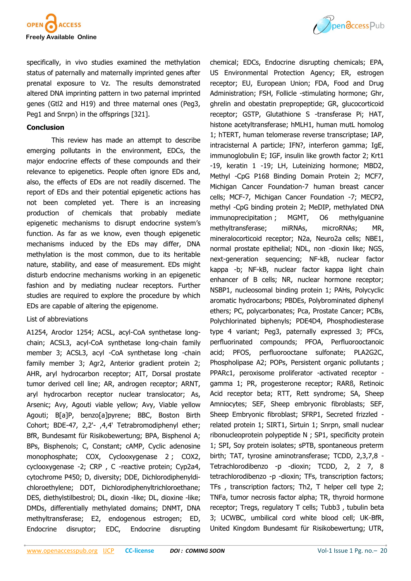

specifically, in vivo studies examined the methylation status of paternally and maternally imprinted genes after prenatal exposure to Vz. The results demonstrated altered DNA imprinting pattern in two paternal imprinted genes (Gtl2 and H19) and three maternal ones (Peg3, Peg1 and Snrpn) in the offsprings [321].

#### **Conclusion**

This review has made an attempt to describe emerging pollutants in the environment, EDCs, the major endocrine effects of these compounds and their relevance to epigenetics. People often ignore EDs and, also, the effects of EDs are not readily discerned. The report of EDs and their potential epigenetic actions has not been completed yet. There is an increasing production of chemicals that probably mediate epigenetic mechanisms to disrupt endocrine system's function. As far as we know, even though epigenetic mechanisms induced by the EDs may differ, DNA methylation is the most common, due to its heritable nature, stability, and ease of measurement. EDs might disturb endocrine mechanisms working in an epigenetic fashion and by mediating nuclear receptors. Further studies are required to explore the procedure by which EDs are capable of altering the epigenome.

#### List of abbreviations

A1254, Aroclor 1254; ACSL, acyl-CoA synthetase longchain; ACSL3, acyl-CoA synthetase long-chain family member 3; ACSL3, acyl -CoA synthetase long -chain family member 3; Agr2, Anterior gradient protein 2; AHR, aryl hydrocarbon receptor; AIT, Dorsal prostate tumor derived cell line; AR, androgen receptor; ARNT, aryl hydrocarbon receptor nuclear translocator; As, Arsenic; Avy, Agouti viable yellow; Avy, Viable yellow Agouti; B[a]P, benzo[a]pyrene; BBC, Boston Birth Cohort; BDE-47, 2,2'- ,4,4' Tetrabromodiphenyl ether; BfR, Bundesamt für Risikobewertung; BPA, Bisphenol A; BPs, Bisphenols; C, Constant; cAMP, Cyclic adenosine monophosphate; COX, Cyclooxygenase 2 ; COX2, cyclooxygenase -2; CRP , C -reactive protein; Cyp2a4, cytochrome P450; D, diversity; DDE, Dichlorodiphenyldichloroethylene; DDT, Dichlorodiphenyltrichloroethane; DES, diethylstilbestrol; DL, dioxin -like; DL, dioxine -like; DMDs, differentially methylated domains; DNMT, DNA methyltransferase; E2, endogenous estrogen; ED, Endocrine disruptor; EDC, Endocrine disrupting



chemical; EDCs, Endocrine disrupting chemicals; EPA, US Environmental Protection Agency; ER, estrogen receptor; EU, European Union; FDA, Food and Drug Administration; FSH, Follicle -stimulating hormone; Ghr, ghrelin and obestatin prepropeptide; GR, glucocorticoid receptor; GSTP, Glutathione S -transferase Pi; HAT, histone acetyltransferase; hMLH1, human mutL homolog 1; hTERT, human telomerase reverse transcriptase; IAP, intracisternal A particle; IFN?, interferon gamma; IgE, immunoglobulin E; IGF, insulin like growth factor 2; Krt1 -19, keratin 1 -19; LH, Luteinizing hormone; MBD2, Methyl -CpG P168 Binding Domain Protein 2; MCF7, Michigan Cancer Foundation-7 human breast cancer cells; MCF-7, Michigan Cancer Foundation -7; MECP2, methyl -CpG binding protein 2; MeDIP, methylated DNA immunoprecipitation ; MGMT, O6 methylguanine methyltransferase; miRNAs, microRNAs; MR, mineralocorticoid receptor; N2a, Neuro2a cells; NBE1, normal prostate epithelial; NDL, non -dioxin like; NGS, next-generation sequencing; NF-kB, nuclear factor kappa -b; NF-kB, nuclear factor kappa light chain enhancer of B cells; NR, nuclear hormone receptor; NSBP1, nucleosomal binding protein 1; PAHs, Polycyclic aromatic hydrocarbons; PBDEs, Polybrominated diphenyl ethers; PC, polycarbonates; Pca, Prostate Cancer; PCBs, Polychlorinated biphenyls; PDE4D4, Phosphodiesterase type 4 variant; Peg3, paternally expressed 3; PFCs, perfluorinated compounds; PFOA, Perfluorooctanoic acid; PFOS, perfluorooctane sulfonate; PLA2G2C, Phospholipase A2; POPs, Persistent organic pollutants ; PPARc1, peroxisome proliferator -activated receptor gamma 1; PR, progesterone receptor; RARß, Retinoic Acid receptor beta; RTT, Rett syndrome; SA, Sheep Amniocytes; SEF, Sheep embryonic fibroblasts; SEF, Sheep Embryonic fibroblast; SFRP1, Secreted frizzled related protein 1; SIRT1, Sirtuin 1; Snrpn, small nuclear ribonucleoprotein polypeptide N ; SP1, specificity protein 1; SPI, Soy protein isolates; sPTB, spontaneous preterm birth; TAT, tyrosine aminotransferase; TCDD, 2,3,7,8 - Tetrachlorodibenzo -p -dioxin; TCDD, 2, 2 7, 8 tetrachlorodibenzo -p -dioxin; TFs, transcription factors; TFs , transcription factors; Th2, T helper cell type 2; TNFa, tumor necrosis factor alpha; TR, thyroid hormone receptor; Tregs, regulatory T cells; Tubb3 , tubulin beta 3; UCWBC, umbilical cord white blood cell; UK-BfR, United Kingdom Bundesamt für Risikobewertung; UTR,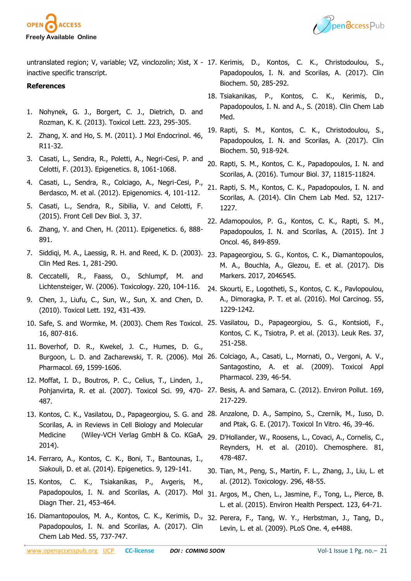



untranslated region; V, variable; VZ, vinclozolin; Xist, X - 17. Kerimis, D., Kontos, C. K., Christodoulou, S., inactive specific transcript.

#### **References**

- 1. Nohynek, G. J., Borgert, C. J., Dietrich, D. and Rozman, K. K. (2013). Toxicol Lett. 223, 295-305.
- 2. Zhang, X. and Ho, S. M. (2011). J Mol Endocrinol. 46, R11-32.
- 3. Casati, L., Sendra, R., Poletti, A., Negri-Cesi, P. and Celotti, F. (2013). Epigenetics. 8, 1061-1068.
- 4. Casati, L., Sendra, R., Colciago, A., Negri-Cesi, P., Berdasco, M. et al. (2012). Epigenomics. 4, 101-112.
- 5. Casati, L., Sendra, R., Sibilia, V. and Celotti, F. (2015). Front Cell Dev Biol. 3, 37.
- 6. Zhang, Y. and Chen, H. (2011). Epigenetics. 6, 888- 891.
- 7. Siddiqi, M. A., Laessig, R. H. and Reed, K. D. (2003). 23. Papageorgiou, S. G., Kontos, C. K., Diamantopoulos, Clin Med Res. 1, 281-290.
- 8. Ceccatelli, R., Faass, O., Schlumpf, M. and Lichtensteiger, W. (2006). Toxicology. 220, 104-116.
- 9. Chen, J., Liufu, C., Sun, W., Sun, X. and Chen, D. (2010). Toxicol Lett. 192, 431-439.
- 16, 807-816.
- 11. Boverhof, D. R., Kwekel, J. C., Humes, D. G., Pharmacol. 69, 1599-1606.
- 12. Moffat, I. D., Boutros, P. C., Celius, T., Linden, J., 487.
- Scorilas, A. in Reviews in Cell Biology and Molecular Medicine (Wiley-VCH Verlag GmbH & Co. KGaA, 29. D'Hollander, W., Roosens, L., Covaci, A., Cornelis, C., 2014).
- 14. Ferraro, A., Kontos, C. K., Boni, T., Bantounas, I., Siakouli, D. et al. (2014). Epigenetics. 9, 129-141.
- 15. Kontos, C. K., Tsiakanikas, P., Avgeris, M., Papadopoulos, I. N. and Scorilas, A. (2017). Mol Diagn Ther. 21, 453-464.
- 16. Diamantopoulos, M. A., Kontos, C. K., Kerimis, D., 32. Perera, F., Tang, W. Y., Herbstman, J., Tang, D., Papadopoulos, I. N. and Scorilas, A. (2017). Clin Chem Lab Med. 55, 737-747.
- Papadopoulos, I. N. and Scorilas, A. (2017). Clin Biochem. 50, 285-292.
- 18. Tsiakanikas, P., Kontos, C. K., Kerimis, D., Papadopoulos, I. N. and A., S. (2018). Clin Chem Lab Med.
- 19. Rapti, S. M., Kontos, C. K., Christodoulou, S., Papadopoulos, I. N. and Scorilas, A. (2017). Clin Biochem. 50, 918-924.
- 20. Rapti, S. M., Kontos, C. K., Papadopoulos, I. N. and Scorilas, A. (2016). Tumour Biol. 37, 11815-11824.
- 21. Rapti, S. M., Kontos, C. K., Papadopoulos, I. N. and Scorilas, A. (2014). Clin Chem Lab Med. 52, 1217- 1227.
- 22. Adamopoulos, P. G., Kontos, C. K., Rapti, S. M., Papadopoulos, I. N. and Scorilas, A. (2015). Int J Oncol. 46, 849-859.
- M. A., Bouchla, A., Glezou, E. et al. (2017). Dis Markers. 2017, 2046545.
- 24. Skourti, E., Logotheti, S., Kontos, C. K., Pavlopoulou, A., Dimoragka, P. T. et al. (2016). Mol Carcinog. 55, 1229-1242.
- 10. Safe, S. and Wormke, M. (2003). Chem Res Toxicol. 25. Vasilatou, D., Papageorgiou, S. G., Kontsioti, F., Kontos, C. K., Tsiotra, P. et al. (2013). Leuk Res. 37, 251-258.
	- Burgoon, L. D. and Zacharewski, T. R. (2006). Mol 26. Colciago, A., Casati, L., Mornati, O., Vergoni, A. V., Santagostino, A. et al. (2009). Toxicol Appl Pharmacol. 239, 46-54.
	- Pohjanvirta, R. et al. (2007). Toxicol Sci. 99, 470- 27. Besis, A. and Samara, C. (2012). Environ Pollut. 169, 217-229.
- 13. Kontos, C. K., Vasilatou, D., Papageorgiou, S. G. and 28. Anzalone, D. A., Sampino, S., Czernik, M., Iuso, D. and Ptak, G. E. (2017). Toxicol In Vitro. 46, 39-46.
	- Reynders, H. et al. (2010). Chemosphere. 81, 478-487.
	- 30. Tian, M., Peng, S., Martin, F. L., Zhang, J., Liu, L. et al. (2012). Toxicology. 296, 48-55.
	- 31. Argos, M., Chen, L., Jasmine, F., Tong, L., Pierce, B. L. et al. (2015). Environ Health Perspect. 123, 64-71.
		- Levin, L. et al. (2009). PLoS One. 4, e4488.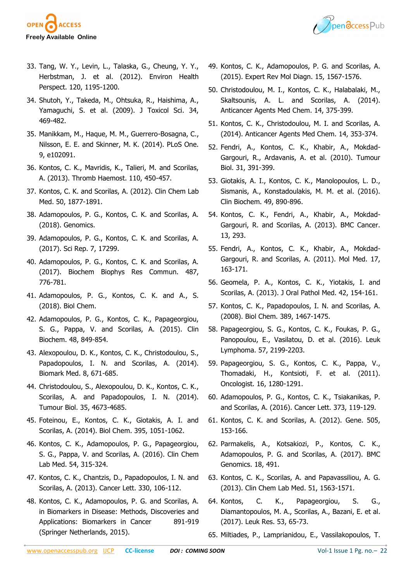



- 33. Tang, W. Y., Levin, L., Talaska, G., Cheung, Y. Y., Herbstman, J. et al. (2012). Environ Health Perspect. 120, 1195-1200.
- 34. Shutoh, Y., Takeda, M., Ohtsuka, R., Haishima, A., Yamaguchi, S. et al. (2009). J Toxicol Sci. 34, 469-482.
- 35. Manikkam, M., Haque, M. M., Guerrero-Bosagna, C., Nilsson, E. E. and Skinner, M. K. (2014). PLoS One. 9, e102091.
- 36. Kontos, C. K., Mavridis, K., Talieri, M. and Scorilas, A. (2013). Thromb Haemost. 110, 450-457.
- 37. Kontos, C. K. and Scorilas, A. (2012). Clin Chem Lab Med. 50, 1877-1891.
- 38. Adamopoulos, P. G., Kontos, C. K. and Scorilas, A. (2018). Genomics.
- 39. Adamopoulos, P. G., Kontos, C. K. and Scorilas, A. (2017). Sci Rep. 7, 17299.
- 40. Adamopoulos, P. G., Kontos, C. K. and Scorilas, A. (2017). Biochem Biophys Res Commun. 487, 776-781.
- 41. Adamopoulos, P. G., Kontos, C. K. and A., S. (2018). Biol Chem.
- 42. Adamopoulos, P. G., Kontos, C. K., Papageorgiou, S. G., Pappa, V. and Scorilas, A. (2015). Clin Biochem. 48, 849-854.
- 43. Alexopoulou, D. K., Kontos, C. K., Christodoulou, S., Papadopoulos, I. N. and Scorilas, A. (2014). Biomark Med. 8, 671-685.
- 44. Christodoulou, S., Alexopoulou, D. K., Kontos, C. K., Scorilas, A. and Papadopoulos, I. N. (2014). Tumour Biol. 35, 4673-4685.
- 45. Foteinou, E., Kontos, C. K., Giotakis, A. I. and Scorilas, A. (2014). Biol Chem. 395, 1051-1062.
- 46. Kontos, C. K., Adamopoulos, P. G., Papageorgiou, S. G., Pappa, V. and Scorilas, A. (2016). Clin Chem Lab Med. 54, 315-324.
- 47. Kontos, C. K., Chantzis, D., Papadopoulos, I. N. and Scorilas, A. (2013). Cancer Lett. 330, 106-112.
- 48. Kontos, C. K., Adamopoulos, P. G. and Scorilas, A. in Biomarkers in Disease: Methods, Discoveries and Applications: Biomarkers in Cancer 891-919 (Springer Netherlands, 2015).
- 49. Kontos, C. K., Adamopoulos, P. G. and Scorilas, A. (2015). Expert Rev Mol Diagn. 15, 1567-1576.
- 50. Christodoulou, M. I., Kontos, C. K., Halabalaki, M., Skaltsounis, A. L. and Scorilas, A. (2014). Anticancer Agents Med Chem. 14, 375-399.
- 51. Kontos, C. K., Christodoulou, M. I. and Scorilas, A. (2014). Anticancer Agents Med Chem. 14, 353-374.
- 52. Fendri, A., Kontos, C. K., Khabir, A., Mokdad-Gargouri, R., Ardavanis, A. et al. (2010). Tumour Biol. 31, 391-399.
- 53. Giotakis, A. I., Kontos, C. K., Manolopoulos, L. D., Sismanis, A., Konstadoulakis, M. M. et al. (2016). Clin Biochem. 49, 890-896.
- 54. Kontos, C. K., Fendri, A., Khabir, A., Mokdad-Gargouri, R. and Scorilas, A. (2013). BMC Cancer. 13, 293.
- 55. Fendri, A., Kontos, C. K., Khabir, A., Mokdad-Gargouri, R. and Scorilas, A. (2011). Mol Med. 17, 163-171.
- 56. Geomela, P. A., Kontos, C. K., Yiotakis, I. and Scorilas, A. (2013). J Oral Pathol Med. 42, 154-161.
- 57. Kontos, C. K., Papadopoulos, I. N. and Scorilas, A. (2008). Biol Chem. 389, 1467-1475.
- 58. Papageorgiou, S. G., Kontos, C. K., Foukas, P. G., Panopoulou, E., Vasilatou, D. et al. (2016). Leuk Lymphoma. 57, 2199-2203.
- 59. Papageorgiou, S. G., Kontos, C. K., Pappa, V., Thomadaki, H., Kontsioti, F. et al. (2011). Oncologist. 16, 1280-1291.
- 60. Adamopoulos, P. G., Kontos, C. K., Tsiakanikas, P. and Scorilas, A. (2016). Cancer Lett. 373, 119-129.
- 61. Kontos, C. K. and Scorilas, A. (2012). Gene. 505, 153-166.
- 62. Parmakelis, A., Kotsakiozi, P., Kontos, C. K., Adamopoulos, P. G. and Scorilas, A. (2017). BMC Genomics. 18, 491.
- 63. Kontos, C. K., Scorilas, A. and Papavassiliou, A. G. (2013). Clin Chem Lab Med. 51, 1563-1571.
- 64. Kontos, C. K., Papageorgiou, S. G., Diamantopoulos, M. A., Scorilas, A., Bazani, E. et al. (2017). Leuk Res. 53, 65-73.
- 65. Miltiades, P., Lamprianidou, E., Vassilakopoulos, T.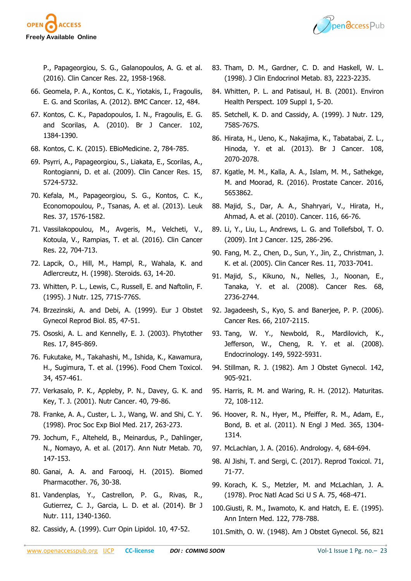

P., Papageorgiou, S. G., Galanopoulos, A. G. et al. (2016). Clin Cancer Res. 22, 1958-1968.

- 66. Geomela, P. A., Kontos, C. K., Yiotakis, I., Fragoulis, E. G. and Scorilas, A. (2012). BMC Cancer. 12, 484.
- 67. Kontos, C. K., Papadopoulos, I. N., Fragoulis, E. G. and Scorilas, A. (2010). Br J Cancer. 102, 1384-1390.
- 68. Kontos, C. K. (2015). EBioMedicine. 2, 784-785.
- 69. Psyrri, A., Papageorgiou, S., Liakata, E., Scorilas, A., Rontogianni, D. et al. (2009). Clin Cancer Res. 15, 5724-5732.
- 70. Kefala, M., Papageorgiou, S. G., Kontos, C. K., Economopoulou, P., Tsanas, A. et al. (2013). Leuk Res. 37, 1576-1582.
- 71. Vassilakopoulou, M., Avgeris, M., Velcheti, V., Kotoula, V., Rampias, T. et al. (2016). Clin Cancer Res. 22, 704-713.
- 72. Lapcik, O., Hill, M., Hampl, R., Wahala, K. and Adlercreutz, H. (1998). Steroids. 63, 14-20.
- 73. Whitten, P. L., Lewis, C., Russell, E. and Naftolin, F. (1995). J Nutr. 125, 771S-776S.
- 74. Brzezinski, A. and Debi, A. (1999). Eur J Obstet Gynecol Reprod Biol. 85, 47-51.
- 75. Ososki, A. L. and Kennelly, E. J. (2003). Phytother Res. 17, 845-869.
- 76. Fukutake, M., Takahashi, M., Ishida, K., Kawamura, H., Sugimura, T. et al. (1996). Food Chem Toxicol. 34, 457-461.
- 77. Verkasalo, P. K., Appleby, P. N., Davey, G. K. and Key, T. J. (2001). Nutr Cancer. 40, 79-86.
- 78. Franke, A. A., Custer, L. J., Wang, W. and Shi, C. Y. (1998). Proc Soc Exp Biol Med. 217, 263-273.
- 79. Jochum, F., Alteheld, B., Meinardus, P., Dahlinger, N., Nomayo, A. et al. (2017). Ann Nutr Metab. 70, 147-153.
- 80. Ganai, A. A. and Farooqi, H. (2015). Biomed Pharmacother. 76, 30-38.
- 81. Vandenplas, Y., Castrellon, P. G., Rivas, R., Gutierrez, C. J., Garcia, L. D. et al. (2014). Br J Nutr. 111, 1340-1360.
- 82. Cassidy, A. (1999). Curr Opin Lipidol. 10, 47-52.



- 83. Tham, D. M., Gardner, C. D. and Haskell, W. L. (1998). J Clin Endocrinol Metab. 83, 2223-2235.
- 84. Whitten, P. L. and Patisaul, H. B. (2001). Environ Health Perspect. 109 Suppl 1, 5-20.
- 85. Setchell, K. D. and Cassidy, A. (1999). J Nutr. 129, 758S-767S.
- 86. Hirata, H., Ueno, K., Nakajima, K., Tabatabai, Z. L., Hinoda, Y. et al. (2013). Br J Cancer. 108, 2070-2078.
- 87. Kgatle, M. M., Kalla, A. A., Islam, M. M., Sathekge, M. and Moorad, R. (2016). Prostate Cancer. 2016, 5653862.
- 88. Majid, S., Dar, A. A., Shahryari, V., Hirata, H., Ahmad, A. et al. (2010). Cancer. 116, 66-76.
- 89. Li, Y., Liu, L., Andrews, L. G. and Tollefsbol, T. O. (2009). Int J Cancer. 125, 286-296.
- 90. Fang, M. Z., Chen, D., Sun, Y., Jin, Z., Christman, J. K. et al. (2005). Clin Cancer Res. 11, 7033-7041.
- 91. Majid, S., Kikuno, N., Nelles, J., Noonan, E., Tanaka, Y. et al. (2008). Cancer Res. 68, 2736-2744.
- 92. Jagadeesh, S., Kyo, S. and Banerjee, P. P. (2006). Cancer Res. 66, 2107-2115.
- 93. Tang, W. Y., Newbold, R., Mardilovich, K., Jefferson, W., Cheng, R. Y. et al. (2008). Endocrinology. 149, 5922-5931.
- 94. Stillman, R. J. (1982). Am J Obstet Gynecol. 142, 905-921.
- 95. Harris, R. M. and Waring, R. H. (2012). Maturitas. 72, 108-112.
- 96. Hoover, R. N., Hyer, M., Pfeiffer, R. M., Adam, E., Bond, B. et al. (2011). N Engl J Med. 365, 1304- 1314.
- 97. McLachlan, J. A. (2016). Andrology. 4, 684-694.
- 98. Al Jishi, T. and Sergi, C. (2017). Reprod Toxicol. 71, 71-77.
- 99. Korach, K. S., Metzler, M. and McLachlan, J. A. (1978). Proc Natl Acad Sci U S A. 75, 468-471.
- 100.Giusti, R. M., Iwamoto, K. and Hatch, E. E. (1995). Ann Intern Med. 122, 778-788.
- 101.Smith, O. W. (1948). Am J Obstet Gynecol. 56, 821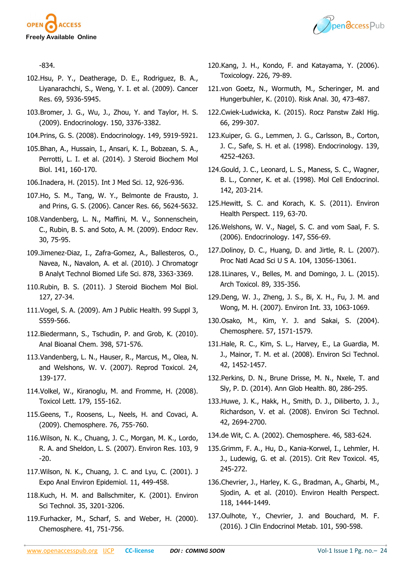



-834.

- 102.Hsu, P. Y., Deatherage, D. E., Rodriguez, B. A., Liyanarachchi, S., Weng, Y. I. et al. (2009). Cancer Res. 69, 5936-5945.
- 103.Bromer, J. G., Wu, J., Zhou, Y. and Taylor, H. S. (2009). Endocrinology. 150, 3376-3382.
- 104.Prins, G. S. (2008). Endocrinology. 149, 5919-5921.
- 105.Bhan, A., Hussain, I., Ansari, K. I., Bobzean, S. A., Perrotti, L. I. et al. (2014). J Steroid Biochem Mol Biol. 141, 160-170.
- 106.Inadera, H. (2015). Int J Med Sci. 12, 926-936.
- 107.Ho, S. M., Tang, W. Y., Belmonte de Frausto, J. and Prins, G. S. (2006). Cancer Res. 66, 5624-5632.
- 108.Vandenberg, L. N., Maffini, M. V., Sonnenschein, C., Rubin, B. S. and Soto, A. M. (2009). Endocr Rev. 30, 75-95.
- 109.Jimenez-Diaz, I., Zafra-Gomez, A., Ballesteros, O., Navea, N., Navalon, A. et al. (2010). J Chromatogr B Analyt Technol Biomed Life Sci. 878, 3363-3369.
- 110.Rubin, B. S. (2011). J Steroid Biochem Mol Biol. 127, 27-34.
- 111.Vogel, S. A. (2009). Am J Public Health. 99 Suppl 3, S559-566.
- 112.Biedermann, S., Tschudin, P. and Grob, K. (2010). Anal Bioanal Chem. 398, 571-576.
- 113.Vandenberg, L. N., Hauser, R., Marcus, M., Olea, N. and Welshons, W. V. (2007). Reprod Toxicol. 24, 139-177.
- 114.Volkel, W., Kiranoglu, M. and Fromme, H. (2008). Toxicol Lett. 179, 155-162.
- 115.Geens, T., Roosens, L., Neels, H. and Covaci, A. (2009). Chemosphere. 76, 755-760.
- 116.Wilson, N. K., Chuang, J. C., Morgan, M. K., Lordo, R. A. and Sheldon, L. S. (2007). Environ Res. 103, 9 -20.
- 117.Wilson, N. K., Chuang, J. C. and Lyu, C. (2001). J Expo Anal Environ Epidemiol. 11, 449-458.
- 118.Kuch, H. M. and Ballschmiter, K. (2001). Environ Sci Technol. 35, 3201-3206.
- 119.Furhacker, M., Scharf, S. and Weber, H. (2000). Chemosphere. 41, 751-756.
- 120.Kang, J. H., Kondo, F. and Katayama, Y. (2006). Toxicology. 226, 79-89.
- 121.von Goetz, N., Wormuth, M., Scheringer, M. and Hungerbuhler, K. (2010). Risk Anal. 30, 473-487.
- 122.Cwiek-Ludwicka, K. (2015). Rocz Panstw Zakl Hig. 66, 299-307.
- 123.Kuiper, G. G., Lemmen, J. G., Carlsson, B., Corton, J. C., Safe, S. H. et al. (1998). Endocrinology. 139, 4252-4263.
- 124.Gould, J. C., Leonard, L. S., Maness, S. C., Wagner, B. L., Conner, K. et al. (1998). Mol Cell Endocrinol. 142, 203-214.
- 125.Hewitt, S. C. and Korach, K. S. (2011). Environ Health Perspect. 119, 63-70.
- 126.Welshons, W. V., Nagel, S. C. and vom Saal, F. S. (2006). Endocrinology. 147, S56-69.
- 127.Dolinoy, D. C., Huang, D. and Jirtle, R. L. (2007). Proc Natl Acad Sci U S A. 104, 13056-13061.
- 128.1Linares, V., Belles, M. and Domingo, J. L. (2015). Arch Toxicol. 89, 335-356.
- 129.Deng, W. J., Zheng, J. S., Bi, X. H., Fu, J. M. and Wong, M. H. (2007). Environ Int. 33, 1063-1069.
- 130.Osako, M., Kim, Y. J. and Sakai, S. (2004). Chemosphere. 57, 1571-1579.
- 131.Hale, R. C., Kim, S. L., Harvey, E., La Guardia, M. J., Mainor, T. M. et al. (2008). Environ Sci Technol. 42, 1452-1457.
- 132.Perkins, D. N., Brune Drisse, M. N., Nxele, T. and Sly, P. D. (2014). Ann Glob Health. 80, 286-295.
- 133.Huwe, J. K., Hakk, H., Smith, D. J., Diliberto, J. J., Richardson, V. et al. (2008). Environ Sci Technol. 42, 2694-2700.
- 134.de Wit, C. A. (2002). Chemosphere. 46, 583-624.
- 135.Grimm, F. A., Hu, D., Kania-Korwel, I., Lehmler, H. J., Ludewig, G. et al. (2015). Crit Rev Toxicol. 45, 245-272.
- 136.Chevrier, J., Harley, K. G., Bradman, A., Gharbi, M., Sjodin, A. et al. (2010). Environ Health Perspect. 118, 1444-1449.
- 137.Oulhote, Y., Chevrier, J. and Bouchard, M. F. (2016). J Clin Endocrinol Metab. 101, 590-598.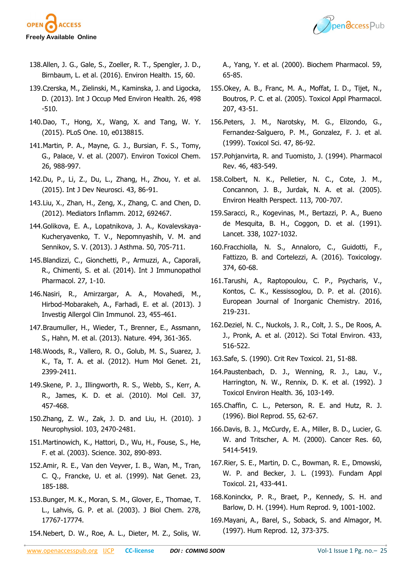



- 138.Allen, J. G., Gale, S., Zoeller, R. T., Spengler, J. D., Birnbaum, L. et al. (2016). Environ Health. 15, 60.
- 139.Czerska, M., Zielinski, M., Kaminska, J. and Ligocka, D. (2013). Int J Occup Med Environ Health. 26, 498 -510.
- 140.Dao, T., Hong, X., Wang, X. and Tang, W. Y. (2015). PLoS One. 10, e0138815.
- 141.Martin, P. A., Mayne, G. J., Bursian, F. S., Tomy, G., Palace, V. et al. (2007). Environ Toxicol Chem. 26, 988-997.
- 142.Du, P., Li, Z., Du, L., Zhang, H., Zhou, Y. et al. (2015). Int J Dev Neurosci. 43, 86-91.
- 143.Liu, X., Zhan, H., Zeng, X., Zhang, C. and Chen, D. (2012). Mediators Inflamm. 2012, 692467.
- 144.Golikova, E. A., Lopatnikova, J. A., Kovalevskaya-Kucheryavenko, T. V., Nepomnyashih, V. M. and Sennikov, S. V. (2013). J Asthma. 50, 705-711.
- 145.Blandizzi, C., Gionchetti, P., Armuzzi, A., Caporali, R., Chimenti, S. et al. (2014). Int J Immunopathol Pharmacol. 27, 1-10.
- 146.Nasiri, R., Amirzargar, A. A., Movahedi, M., Hirbod-Mobarakeh, A., Farhadi, E. et al. (2013). J Investig Allergol Clin Immunol. 23, 455-461.
- 147.Braumuller, H., Wieder, T., Brenner, E., Assmann, S., Hahn, M. et al. (2013). Nature. 494, 361-365.
- 148.Woods, R., Vallero, R. O., Golub, M. S., Suarez, J. K., Ta, T. A. et al. (2012). Hum Mol Genet. 21, 2399-2411.
- 149.Skene, P. J., Illingworth, R. S., Webb, S., Kerr, A. R., James, K. D. et al. (2010). Mol Cell. 37, 457-468.
- 150.Zhang, Z. W., Zak, J. D. and Liu, H. (2010). J Neurophysiol. 103, 2470-2481.
- 151.Martinowich, K., Hattori, D., Wu, H., Fouse, S., He, F. et al. (2003). Science. 302, 890-893.
- 152.Amir, R. E., Van den Veyver, I. B., Wan, M., Tran, C. Q., Francke, U. et al. (1999). Nat Genet. 23, 185-188.
- 153.Bunger, M. K., Moran, S. M., Glover, E., Thomae, T. L., Lahvis, G. P. et al. (2003). J Biol Chem. 278, 17767-17774.
- 154.Nebert, D. W., Roe, A. L., Dieter, M. Z., Solis, W.

A., Yang, Y. et al. (2000). Biochem Pharmacol. 59, 65-85.

- 155.Okey, A. B., Franc, M. A., Moffat, I. D., Tijet, N., Boutros, P. C. et al. (2005). Toxicol Appl Pharmacol. 207, 43-51.
- 156.Peters, J. M., Narotsky, M. G., Elizondo, G., Fernandez-Salguero, P. M., Gonzalez, F. J. et al. (1999). Toxicol Sci. 47, 86-92.
- 157.Pohjanvirta, R. and Tuomisto, J. (1994). Pharmacol Rev. 46, 483-549.
- 158.Colbert, N. K., Pelletier, N. C., Cote, J. M., Concannon, J. B., Jurdak, N. A. et al. (2005). Environ Health Perspect. 113, 700-707.
- 159.Saracci, R., Kogevinas, M., Bertazzi, P. A., Bueno de Mesquita, B. H., Coggon, D. et al. (1991). Lancet. 338, 1027-1032.
- 160.Fracchiolla, N. S., Annaloro, C., Guidotti, F., Fattizzo, B. and Cortelezzi, A. (2016). Toxicology. 374, 60-68.
- 161.Tarushi, A., Raptopoulou, C. P., Psycharis, V., Kontos, C. K., Kessissoglou, D. P. et al. (2016). European Journal of Inorganic Chemistry. 2016, 219-231.
- 162.Deziel, N. C., Nuckols, J. R., Colt, J. S., De Roos, A. J., Pronk, A. et al. (2012). Sci Total Environ. 433, 516-522.
- 163.Safe, S. (1990). Crit Rev Toxicol. 21, 51-88.
- 164.Paustenbach, D. J., Wenning, R. J., Lau, V., Harrington, N. W., Rennix, D. K. et al. (1992). J Toxicol Environ Health. 36, 103-149.
- 165.Chaffin, C. L., Peterson, R. E. and Hutz, R. J. (1996). Biol Reprod. 55, 62-67.
- 166.Davis, B. J., McCurdy, E. A., Miller, B. D., Lucier, G. W. and Tritscher, A. M. (2000). Cancer Res. 60, 5414-5419.
- 167.Rier, S. E., Martin, D. C., Bowman, R. E., Dmowski, W. P. and Becker, J. L. (1993). Fundam Appl Toxicol. 21, 433-441.
- 168.Koninckx, P. R., Braet, P., Kennedy, S. H. and Barlow, D. H. (1994). Hum Reprod. 9, 1001-1002.
- 169.Mayani, A., Barel, S., Soback, S. and Almagor, M. (1997). Hum Reprod. 12, 373-375.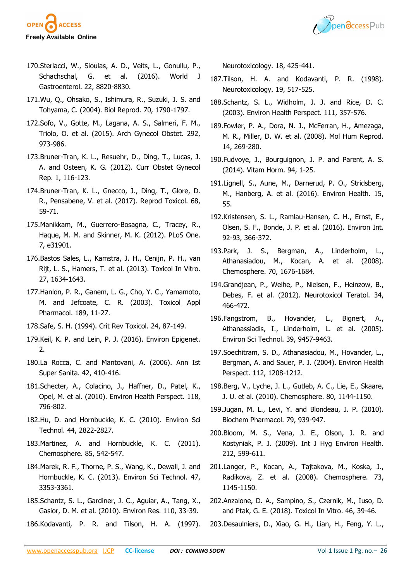



- 170.Sterlacci, W., Sioulas, A. D., Veits, L., Gonullu, P., Schachschal, G. et al. (2016). World J Gastroenterol. 22, 8820-8830.
- 171.Wu, Q., Ohsako, S., Ishimura, R., Suzuki, J. S. and Tohyama, C. (2004). Biol Reprod. 70, 1790-1797.
- 172.Sofo, V., Gotte, M., Lagana, A. S., Salmeri, F. M., Triolo, O. et al. (2015). Arch Gynecol Obstet. 292, 973-986.
- 173.Bruner-Tran, K. L., Resuehr, D., Ding, T., Lucas, J. A. and Osteen, K. G. (2012). Curr Obstet Gynecol Rep. 1, 116-123.
- 174.Bruner-Tran, K. L., Gnecco, J., Ding, T., Glore, D. R., Pensabene, V. et al. (2017). Reprod Toxicol. 68, 59-71.
- 175.Manikkam, M., Guerrero-Bosagna, C., Tracey, R., Haque, M. M. and Skinner, M. K. (2012). PLoS One. 7, e31901.
- 176.Bastos Sales, L., Kamstra, J. H., Cenijn, P. H., van Rijt, L. S., Hamers, T. et al. (2013). Toxicol In Vitro. 27, 1634-1643.
- 177.Hanlon, P. R., Ganem, L. G., Cho, Y. C., Yamamoto, M. and Jefcoate, C. R. (2003). Toxicol Appl Pharmacol. 189, 11-27.
- 178.Safe, S. H. (1994). Crit Rev Toxicol. 24, 87-149.
- 179.Keil, K. P. and Lein, P. J. (2016). Environ Epigenet. 2.
- 180.La Rocca, C. and Mantovani, A. (2006). Ann Ist Super Sanita. 42, 410-416.
- 181.Schecter, A., Colacino, J., Haffner, D., Patel, K., Opel, M. et al. (2010). Environ Health Perspect. 118, 796-802.
- 182.Hu, D. and Hornbuckle, K. C. (2010). Environ Sci Technol. 44, 2822-2827.
- 183.Martinez, A. and Hornbuckle, K. C. (2011). Chemosphere. 85, 542-547.
- 184.Marek, R. F., Thorne, P. S., Wang, K., Dewall, J. and Hornbuckle, K. C. (2013). Environ Sci Technol. 47, 3353-3361.
- 185.Schantz, S. L., Gardiner, J. C., Aguiar, A., Tang, X., Gasior, D. M. et al. (2010). Environ Res. 110, 33-39.
- 186.Kodavanti, P. R. and Tilson, H. A. (1997).

Neurotoxicology. 18, 425-441.

- 187.Tilson, H. A. and Kodavanti, P. R. (1998). Neurotoxicology. 19, 517-525.
- 188.Schantz, S. L., Widholm, J. J. and Rice, D. C. (2003). Environ Health Perspect. 111, 357-576.
- 189.Fowler, P. A., Dora, N. J., McFerran, H., Amezaga, M. R., Miller, D. W. et al. (2008). Mol Hum Reprod. 14, 269-280.
- 190.Fudvoye, J., Bourguignon, J. P. and Parent, A. S. (2014). Vitam Horm. 94, 1-25.
- 191.Lignell, S., Aune, M., Darnerud, P. O., Stridsberg, M., Hanberg, A. et al. (2016). Environ Health. 15, 55.
- 192.Kristensen, S. L., Ramlau-Hansen, C. H., Ernst, E., Olsen, S. F., Bonde, J. P. et al. (2016). Environ Int. 92-93, 366-372.
- 193.Park, J. S., Bergman, A., Linderholm, L., Athanasiadou, M., Kocan, A. et al. (2008). Chemosphere. 70, 1676-1684.
- 194.Grandjean, P., Weihe, P., Nielsen, F., Heinzow, B., Debes, F. et al. (2012). Neurotoxicol Teratol. 34, 466-472.
- 196.Fangstrom, B., Hovander, L., Bignert, A., Athanassiadis, I., Linderholm, L. et al. (2005). Environ Sci Technol. 39, 9457-9463.
- 197.Soechitram, S. D., Athanasiadou, M., Hovander, L., Bergman, A. and Sauer, P. J. (2004). Environ Health Perspect. 112, 1208-1212.
- 198.Berg, V., Lyche, J. L., Gutleb, A. C., Lie, E., Skaare, J. U. et al. (2010). Chemosphere. 80, 1144-1150.
- 199.Jugan, M. L., Levi, Y. and Blondeau, J. P. (2010). Biochem Pharmacol. 79, 939-947.
- 200.Bloom, M. S., Vena, J. E., Olson, J. R. and Kostyniak, P. J. (2009). Int J Hyg Environ Health. 212, 599-611.
- 201.Langer, P., Kocan, A., Tajtakova, M., Koska, J., Radikova, Z. et al. (2008). Chemosphere. 73, 1145-1150.
- 202.Anzalone, D. A., Sampino, S., Czernik, M., Iuso, D. and Ptak, G. E. (2018). Toxicol In Vitro. 46, 39-46.
- 203.Desaulniers, D., Xiao, G. H., Lian, H., Feng, Y. L.,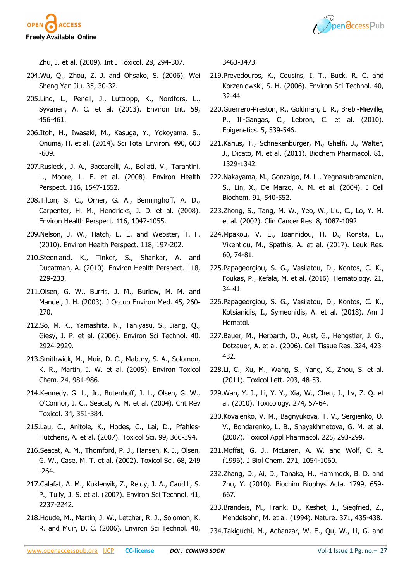



Zhu, J. et al. (2009). Int J Toxicol. 28, 294-307.

- 204.Wu, Q., Zhou, Z. J. and Ohsako, S. (2006). Wei Sheng Yan Jiu. 35, 30-32.
- 205.Lind, L., Penell, J., Luttropp, K., Nordfors, L., Syvanen, A. C. et al. (2013). Environ Int. 59, 456-461.
- 206.Itoh, H., Iwasaki, M., Kasuga, Y., Yokoyama, S., Onuma, H. et al. (2014). Sci Total Environ. 490, 603 -609.
- 207.Rusiecki, J. A., Baccarelli, A., Bollati, V., Tarantini, L., Moore, L. E. et al. (2008). Environ Health Perspect. 116, 1547-1552.
- 208.Tilton, S. C., Orner, G. A., Benninghoff, A. D., Carpenter, H. M., Hendricks, J. D. et al. (2008). Environ Health Perspect. 116, 1047-1055.
- 209.Nelson, J. W., Hatch, E. E. and Webster, T. F. (2010). Environ Health Perspect. 118, 197-202.
- 210.Steenland, K., Tinker, S., Shankar, A. and Ducatman, A. (2010). Environ Health Perspect. 118, 229-233.
- 211.Olsen, G. W., Burris, J. M., Burlew, M. M. and Mandel, J. H. (2003). J Occup Environ Med. 45, 260- 270.
- 212.So, M. K., Yamashita, N., Taniyasu, S., Jiang, Q., Giesy, J. P. et al. (2006). Environ Sci Technol. 40, 2924-2929.
- 213.Smithwick, M., Muir, D. C., Mabury, S. A., Solomon, K. R., Martin, J. W. et al. (2005). Environ Toxicol Chem. 24, 981-986.
- 214.Kennedy, G. L., Jr., Butenhoff, J. L., Olsen, G. W., O'Connor, J. C., Seacat, A. M. et al. (2004). Crit Rev Toxicol. 34, 351-384.
- 215.Lau, C., Anitole, K., Hodes, C., Lai, D., Pfahles-Hutchens, A. et al. (2007). Toxicol Sci. 99, 366-394.
- 216.Seacat, A. M., Thomford, P. J., Hansen, K. J., Olsen, G. W., Case, M. T. et al. (2002). Toxicol Sci. 68, 249 -264.
- 217.Calafat, A. M., Kuklenyik, Z., Reidy, J. A., Caudill, S. P., Tully, J. S. et al. (2007). Environ Sci Technol. 41, 2237-2242.
- 218.Houde, M., Martin, J. W., Letcher, R. J., Solomon, K. R. and Muir, D. C. (2006). Environ Sci Technol. 40,

3463-3473.

- 219.Prevedouros, K., Cousins, I. T., Buck, R. C. and Korzeniowski, S. H. (2006). Environ Sci Technol. 40, 32-44.
- 220.Guerrero-Preston, R., Goldman, L. R., Brebi-Mieville, P., Ili-Gangas, C., Lebron, C. et al. (2010). Epigenetics. 5, 539-546.
- 221.Karius, T., Schnekenburger, M., Ghelfi, J., Walter, J., Dicato, M. et al. (2011). Biochem Pharmacol. 81, 1329-1342.
- 222.Nakayama, M., Gonzalgo, M. L., Yegnasubramanian, S., Lin, X., De Marzo, A. M. et al. (2004). J Cell Biochem. 91, 540-552.
- 223.Zhong, S., Tang, M. W., Yeo, W., Liu, C., Lo, Y. M. et al. (2002). Clin Cancer Res. 8, 1087-1092.
- 224.Mpakou, V. E., Ioannidou, H. D., Konsta, E., Vikentiou, M., Spathis, A. et al. (2017). Leuk Res. 60, 74-81.
- 225.Papageorgiou, S. G., Vasilatou, D., Kontos, C. K., Foukas, P., Kefala, M. et al. (2016). Hematology. 21, 34-41.
- 226.Papageorgiou, S. G., Vasilatou, D., Kontos, C. K., Kotsianidis, I., Symeonidis, A. et al. (2018). Am J Hematol.
- 227.Bauer, M., Herbarth, O., Aust, G., Hengstler, J. G., Dotzauer, A. et al. (2006). Cell Tissue Res. 324, 423- 432.
- 228.Li, C., Xu, M., Wang, S., Yang, X., Zhou, S. et al. (2011). Toxicol Lett. 203, 48-53.
- 229.Wan, Y. J., Li, Y. Y., Xia, W., Chen, J., Lv, Z. Q. et al. (2010). Toxicology. 274, 57-64.
- 230.Kovalenko, V. M., Bagnyukova, T. V., Sergienko, O. V., Bondarenko, L. B., Shayakhmetova, G. M. et al. (2007). Toxicol Appl Pharmacol. 225, 293-299.
- 231.Moffat, G. J., McLaren, A. W. and Wolf, C. R. (1996). J Biol Chem. 271, 1054-1060.
- 232.Zhang, D., Ai, D., Tanaka, H., Hammock, B. D. and Zhu, Y. (2010). Biochim Biophys Acta. 1799, 659- 667.
- 233.Brandeis, M., Frank, D., Keshet, I., Siegfried, Z., Mendelsohn, M. et al. (1994). Nature. 371, 435-438.
- 234.Takiguchi, M., Achanzar, W. E., Qu, W., Li, G. and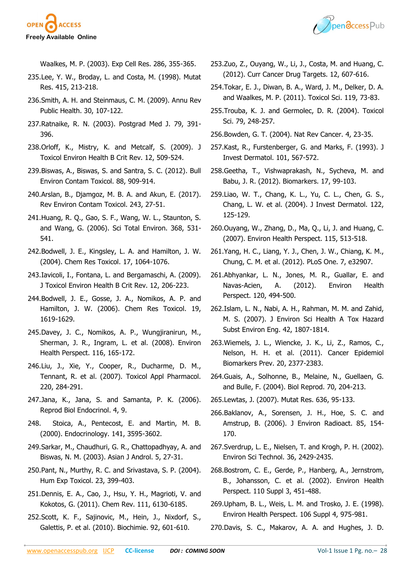



Waalkes, M. P. (2003). Exp Cell Res. 286, 355-365.

- 235.Lee, Y. W., Broday, L. and Costa, M. (1998). Mutat Res. 415, 213-218.
- 236.Smith, A. H. and Steinmaus, C. M. (2009). Annu Rev Public Health. 30, 107-122.
- 237.Ratnaike, R. N. (2003). Postgrad Med J. 79, 391- 396.
- 238.Orloff, K., Mistry, K. and Metcalf, S. (2009). J Toxicol Environ Health B Crit Rev. 12, 509-524.
- 239.Biswas, A., Biswas, S. and Santra, S. C. (2012). Bull Environ Contam Toxicol. 88, 909-914.
- 240.Arslan, B., Djamgoz, M. B. A. and Akun, E. (2017). Rev Environ Contam Toxicol. 243, 27-51.
- 241.Huang, R. Q., Gao, S. F., Wang, W. L., Staunton, S. and Wang, G. (2006). Sci Total Environ. 368, 531- 541.
- 242.Bodwell, J. E., Kingsley, L. A. and Hamilton, J. W. (2004). Chem Res Toxicol. 17, 1064-1076.
- 243.Iavicoli, I., Fontana, L. and Bergamaschi, A. (2009). J Toxicol Environ Health B Crit Rev. 12, 206-223.
- 244.Bodwell, J. E., Gosse, J. A., Nomikos, A. P. and Hamilton, J. W. (2006). Chem Res Toxicol. 19, 1619-1629.
- 245.Davey, J. C., Nomikos, A. P., Wungjiranirun, M., Sherman, J. R., Ingram, L. et al. (2008). Environ Health Perspect. 116, 165-172.
- 246.Liu, J., Xie, Y., Cooper, R., Ducharme, D. M., Tennant, R. et al. (2007). Toxicol Appl Pharmacol. 220, 284-291.
- 247.Jana, K., Jana, S. and Samanta, P. K. (2006). Reprod Biol Endocrinol. 4, 9.
- 248. Stoica, A., Pentecost, E. and Martin, M. B. (2000). Endocrinology. 141, 3595-3602.
- 249.Sarkar, M., Chaudhuri, G. R., Chattopadhyay, A. and Biswas, N. M. (2003). Asian J Androl. 5, 27-31.
- 250.Pant, N., Murthy, R. C. and Srivastava, S. P. (2004). Hum Exp Toxicol. 23, 399-403.
- 251.Dennis, E. A., Cao, J., Hsu, Y. H., Magrioti, V. and Kokotos, G. (2011). Chem Rev. 111, 6130-6185.
- 252.Scott, K. F., Sajinovic, M., Hein, J., Nixdorf, S., Galettis, P. et al. (2010). Biochimie. 92, 601-610.
- 253.Zuo, Z., Ouyang, W., Li, J., Costa, M. and Huang, C. (2012). Curr Cancer Drug Targets. 12, 607-616.
- 254.Tokar, E. J., Diwan, B. A., Ward, J. M., Delker, D. A. and Waalkes, M. P. (2011). Toxicol Sci. 119, 73-83.
- 255.Trouba, K. J. and Germolec, D. R. (2004). Toxicol Sci. 79, 248-257.
- 256.Bowden, G. T. (2004). Nat Rev Cancer. 4, 23-35.
- 257.Kast, R., Furstenberger, G. and Marks, F. (1993). J Invest Dermatol. 101, 567-572.
- 258.Geetha, T., Vishwaprakash, N., Sycheva, M. and Babu, J. R. (2012). Biomarkers. 17, 99-103.
- 259.Liao, W. T., Chang, K. L., Yu, C. L., Chen, G. S., Chang, L. W. et al. (2004). J Invest Dermatol. 122, 125-129.
- 260.Ouyang, W., Zhang, D., Ma, Q., Li, J. and Huang, C. (2007). Environ Health Perspect. 115, 513-518.
- 261.Yang, H. C., Liang, Y. J., Chen, J. W., Chiang, K. M., Chung, C. M. et al. (2012). PLoS One. 7, e32907.
- 261.Abhyankar, L. N., Jones, M. R., Guallar, E. and Navas-Acien, A. (2012). Environ Health Perspect. 120, 494-500.
- 262.Islam, L. N., Nabi, A. H., Rahman, M. M. and Zahid, M. S. (2007). J Environ Sci Health A Tox Hazard Subst Environ Eng. 42, 1807-1814.
- 263.Wiemels, J. L., Wiencke, J. K., Li, Z., Ramos, C., Nelson, H. H. et al. (2011). Cancer Epidemiol Biomarkers Prev. 20, 2377-2383.
- 264.Guais, A., Solhonne, B., Melaine, N., Guellaen, G. and Bulle, F. (2004). Biol Reprod. 70, 204-213.
- 265.Lewtas, J. (2007). Mutat Res. 636, 95-133.
- 266.Baklanov, A., Sorensen, J. H., Hoe, S. C. and Amstrup, B. (2006). J Environ Radioact. 85, 154- 170.
- 267.Sverdrup, L. E., Nielsen, T. and Krogh, P. H. (2002). Environ Sci Technol. 36, 2429-2435.
- 268.Bostrom, C. E., Gerde, P., Hanberg, A., Jernstrom, B., Johansson, C. et al. (2002). Environ Health Perspect. 110 Suppl 3, 451-488.
- 269.Upham, B. L., Weis, L. M. and Trosko, J. E. (1998). Environ Health Perspect. 106 Suppl 4, 975-981.
- 270.Davis, S. C., Makarov, A. A. and Hughes, J. D.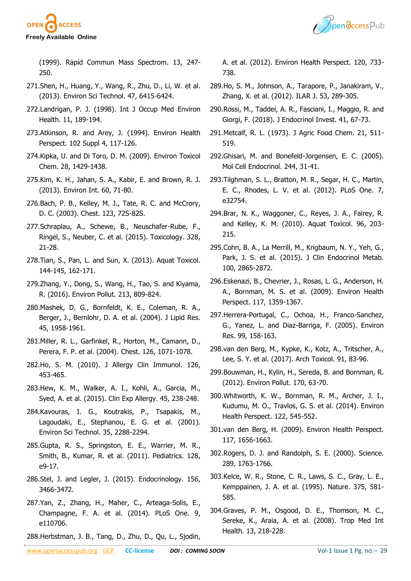



(1999). Rapid Commun Mass Spectrom. 13, 247- 250.

- 271.Shen, H., Huang, Y., Wang, R., Zhu, D., Li, W. et al. (2013). Environ Sci Technol. 47, 6415-6424.
- 272.Landrigan, P. J. (1998). Int J Occup Med Environ Health. 11, 189-194.
- 273.Atkinson, R. and Arey, J. (1994). Environ Health Perspect. 102 Suppl 4, 117-126.
- 274.Kipka, U. and Di Toro, D. M. (2009). Environ Toxicol Chem. 28, 1429-1438.
- 275.Kim, K. H., Jahan, S. A., Kabir, E. and Brown, R. J. (2013). Environ Int. 60, 71-80.
- 276.Bach, P. B., Kelley, M. J., Tate, R. C. and McCrory, D. C. (2003). Chest. 123, 72S-82S.
- 277.Schraplau, A., Schewe, B., Neuschafer-Rube, F., Ringel, S., Neuber, C. et al. (2015). Toxicology. 328, 21-28.
- 278.Tian, S., Pan, L. and Sun, X. (2013). Aquat Toxicol. 144-145, 162-171.
- 279.Zhang, Y., Dong, S., Wang, H., Tao, S. and Kiyama, R. (2016). Environ Pollut. 213, 809-824.
- 280.Mashek, D. G., Bornfeldt, K. E., Coleman, R. A., Berger, J., Bernlohr, D. A. et al. (2004). J Lipid Res. 45, 1958-1961.
- 281.Miller, R. L., Garfinkel, R., Horton, M., Camann, D., Perera, F. P. et al. (2004). Chest. 126, 1071-1078.
- 282.Ho, S. M. (2010). J Allergy Clin Immunol. 126, 453-465.
- 283.Hew, K. M., Walker, A. I., Kohli, A., Garcia, M., Syed, A. et al. (2015). Clin Exp Allergy. 45, 238-248.
- 284.Kavouras, I. G., Koutrakis, P., Tsapakis, M., Lagoudaki, E., Stephanou, E. G. et al. (2001). Environ Sci Technol. 35, 2288-2294.
- 285.Gupta, R. S., Springston, E. E., Warrier, M. R., Smith, B., Kumar, R. et al. (2011). Pediatrics. 128, e9-17.
- 286.Stel, J. and Legler, J. (2015). Endocrinology. 156, 3466-3472.
- 287.Yan, Z., Zhang, H., Maher, C., Arteaga-Solis, E., Champagne, F. A. et al. (2014). PLoS One. 9, e110706.
- 288.Herbstman, J. B., Tang, D., Zhu, D., Qu, L., Sjodin,

A. et al. (2012). Environ Health Perspect. 120, 733- 738.

- 289.Ho, S. M., Johnson, A., Tarapore, P., Janakiram, V., Zhang, X. et al. (2012). ILAR J. 53, 289-305.
- 290.Rossi, M., Taddei, A. R., Fasciani, I., Maggio, R. and Giorgi, F. (2018). J Endocrinol Invest. 41, 67-73.
- 291.Metcalf, R. L. (1973). J Agric Food Chem. 21, 511- 519.
- 292.Ghisari, M. and Bonefeld-Jorgensen, E. C. (2005). Mol Cell Endocrinol. 244, 31-41.
- 293.Tilghman, S. L., Bratton, M. R., Segar, H. C., Martin, E. C., Rhodes, L. V. et al. (2012). PLoS One. 7, e32754.
- 294.Brar, N. K., Waggoner, C., Reyes, J. A., Fairey, R. and Kelley, K. M. (2010). Aquat Toxicol. 96, 203- 215.
- 295.Cohn, B. A., La Merrill, M., Krigbaum, N. Y., Yeh, G., Park, J. S. et al. (2015). J Clin Endocrinol Metab. 100, 2865-2872.
- 296.Eskenazi, B., Chevrier, J., Rosas, L. G., Anderson, H. A., Bornman, M. S. et al. (2009). Environ Health Perspect. 117, 1359-1367.
- 297.Herrera-Portugal, C., Ochoa, H., Franco-Sanchez, G., Yanez, L. and Diaz-Barriga, F. (2005). Environ Res. 99, 158-163.
- 298.van den Berg, M., Kypke, K., Kotz, A., Tritscher, A., Lee, S. Y. et al. (2017). Arch Toxicol. 91, 83-96.
- 299.Bouwman, H., Kylin, H., Sereda, B. and Bornman, R. (2012). Environ Pollut. 170, 63-70.
- 300.Whitworth, K. W., Bornman, R. M., Archer, J. I., Kudumu, M. O., Travlos, G. S. et al. (2014). Environ Health Perspect. 122, 545-552.
- 301.van den Berg, H. (2009). Environ Health Perspect. 117, 1656-1663.
- 302.Rogers, D. J. and Randolph, S. E. (2000). Science. 289, 1763-1766.
- 303.Kelce, W. R., Stone, C. R., Laws, S. C., Gray, L. E., Kemppainen, J. A. et al. (1995). Nature. 375, 581- 585.
- 304.Graves, P. M., Osgood, D. E., Thomson, M. C., Sereke, K., Araia, A. et al. (2008). Trop Med Int Health. 13, 218-228.